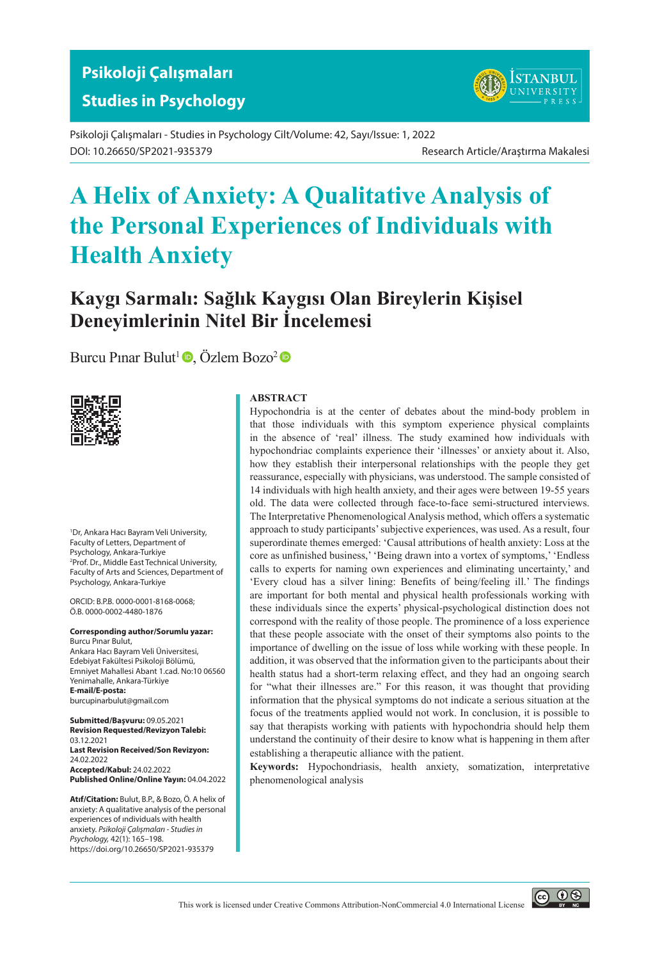# **Psikoloji Çalışmaları Studies in Psychology**

Psikoloji Çalışmaları - Studies in Psychology Cilt/Volume: 42, Sayı/Issue: 1, 2022 DOI: 10.26650/SP2021-935379 Research Article/Araştırma Makalesi

# **A Helix of Anxiety: A Qualitative Analysis of the Personal Experiences of Individuals with Health Anxiety**

# **Kaygı Sarmalı: Sağlık Kaygısı Olan Bireylerin Kişisel Deneyimlerinin Nitel Bir İncelemesi**

[Burcu Pınar Bulut](https://orcid.org/0000-0001-8168-0068
)<sup>1</sup> $\bullet$ , [Özlem Bozo](https://orcid.org/0000-0002-4480-1876)<sup>2</sup> $\bullet$ 



1 Dr, Ankara Hacı Bayram Veli University, Faculty of Letters, Department of Psychology, Ankara-Turkiye 2 Prof. Dr., Middle East Technical University, Faculty of Arts and Sciences, Department of Psychology, Ankara-Turkiye

ORCID: B.P.B. 0000-0001-8168-0068; Ö.B. 0000-0002-4480-1876

**Corresponding author/Sorumlu yazar:** Burcu Pınar Bulut, Ankara Hacı Bayram Veli Üniversitesi, Edebiyat Fakültesi Psikoloji Bölümü, Emniyet Mahallesi Abant 1.cad. No:10 06560 Yenimahalle, Ankara-Türkiye **E-mail/E-posta:** burcupinarbulut@gmail.com

**Submitted/Başvuru:** 09.05.2021 **Revision Requested/Revizyon Talebi:** 03.12.2021 **Last Revision Received/Son Revizyon:** 24.02.2022 **Accepted/Kabul:** 24.02.2022 **Published Online/Online Yayın:** 04.04.2022

**Atıf/Citation:** Bulut, B.P., & Bozo, Ö. A helix of anxiety: A qualitative analysis of the personal experiences of ındividuals with health anxiety. *Psikoloji Çalışmaları - Studies in Psychology,* 42(1): 165–198. https://doi.org/10.26650/SP2021-935379

#### **ABSTRACT**

Hypochondria is at the center of debates about the mind-body problem in that those individuals with this symptom experience physical complaints in the absence of 'real' illness. The study examined how individuals with hypochondriac complaints experience their 'illnesses' or anxiety about it. Also, how they establish their interpersonal relationships with the people they get reassurance, especially with physicians, was understood. The sample consisted of 14 individuals with high health anxiety, and their ages were between 19-55 years old. The data were collected through face-to-face semi-structured interviews. The Interpretative Phenomenological Analysis method, which offers a systematic approach to study participants' subjective experiences, was used. As a result, four superordinate themes emerged: 'Causal attributions of health anxiety: Loss at the core as unfinished business,' 'Being drawn into a vortex of symptoms,' 'Endless calls to experts for naming own experiences and eliminating uncertainty,' and 'Every cloud has a silver lining: Benefits of being/feeling ill.' The findings are important for both mental and physical health professionals working with these individuals since the experts' physical-psychological distinction does not correspond with the reality of those people. The prominence of a loss experience that these people associate with the onset of their symptoms also points to the importance of dwelling on the issue of loss while working with these people. In addition, it was observed that the information given to the participants about their health status had a short-term relaxing effect, and they had an ongoing search for "what their illnesses are." For this reason, it was thought that providing information that the physical symptoms do not indicate a serious situation at the focus of the treatments applied would not work. In conclusion, it is possible to say that therapists working with patients with hypochondria should help them understand the continuity of their desire to know what is happening in them after establishing a therapeutic alliance with the patient.

**Keywords:** Hypochondriasis, health anxiety, somatization, interpretative phenomenological analysis

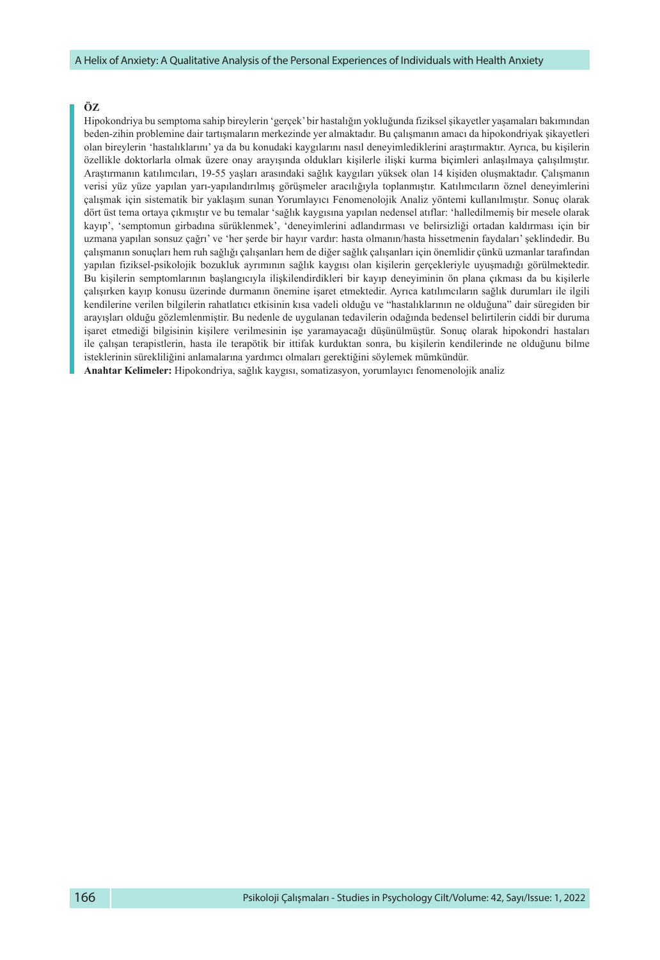#### **ÖZ**

Hipokondriya bu semptoma sahip bireylerin 'gerçek' bir hastalığın yokluğunda fiziksel şikayetler yaşamaları bakımından beden-zihin problemine dair tartışmaların merkezinde yer almaktadır. Bu çalışmanın amacı da hipokondriyak şikayetleri olan bireylerin 'hastalıklarını' ya da bu konudaki kaygılarını nasıl deneyimlediklerini araştırmaktır. Ayrıca, bu kişilerin özellikle doktorlarla olmak üzere onay arayışında oldukları kişilerle ilişki kurma biçimleri anlaşılmaya çalışılmıştır. Araştırmanın katılımcıları, 19-55 yaşları arasındaki sağlık kaygıları yüksek olan 14 kişiden oluşmaktadır. Çalışmanın verisi yüz yüze yapılan yarı-yapılandırılmış görüşmeler aracılığıyla toplanmıştır. Katılımcıların öznel deneyimlerini çalışmak için sistematik bir yaklaşım sunan Yorumlayıcı Fenomenolojik Analiz yöntemi kullanılmıştır. Sonuç olarak dört üst tema ortaya çıkmıştır ve bu temalar 'sağlık kaygısına yapılan nedensel atıflar: 'halledilmemiş bir mesele olarak kayıp', 'semptomun girbadına sürüklenmek', 'deneyimlerini adlandırması ve belirsizliği ortadan kaldırması için bir uzmana yapılan sonsuz çağrı' ve 'her şerde bir hayır vardır: hasta olmanın/hasta hissetmenin faydaları' şeklindedir. Bu çalışmanın sonuçları hem ruh sağlığı çalışanları hem de diğer sağlık çalışanları için önemlidir çünkü uzmanlar tarafından yapılan fiziksel-psikolojik bozukluk ayrımının sağlık kaygısı olan kişilerin gerçekleriyle uyuşmadığı görülmektedir. Bu kişilerin semptomlarının başlangıcıyla ilişkilendirdikleri bir kayıp deneyiminin ön plana çıkması da bu kişilerle çalışırken kayıp konusu üzerinde durmanın önemine işaret etmektedir. Ayrıca katılımcıların sağlık durumları ile ilgili kendilerine verilen bilgilerin rahatlatıcı etkisinin kısa vadeli olduğu ve "hastalıklarının ne olduğuna" dair süregiden bir arayışları olduğu gözlemlenmiştir. Bu nedenle de uygulanan tedavilerin odağında bedensel belirtilerin ciddi bir duruma işaret etmediği bilgisinin kişilere verilmesinin işe yaramayacağı düşünülmüştür. Sonuç olarak hipokondri hastaları ile çalışan terapistlerin, hasta ile terapötik bir ittifak kurduktan sonra, bu kişilerin kendilerinde ne olduğunu bilme isteklerinin sürekliliğini anlamalarına yardımcı olmaları gerektiğini söylemek mümkündür.

**Anahtar Kelimeler:** Hipokondriya, sağlık kaygısı, somatizasyon, yorumlayıcı fenomenolojik analiz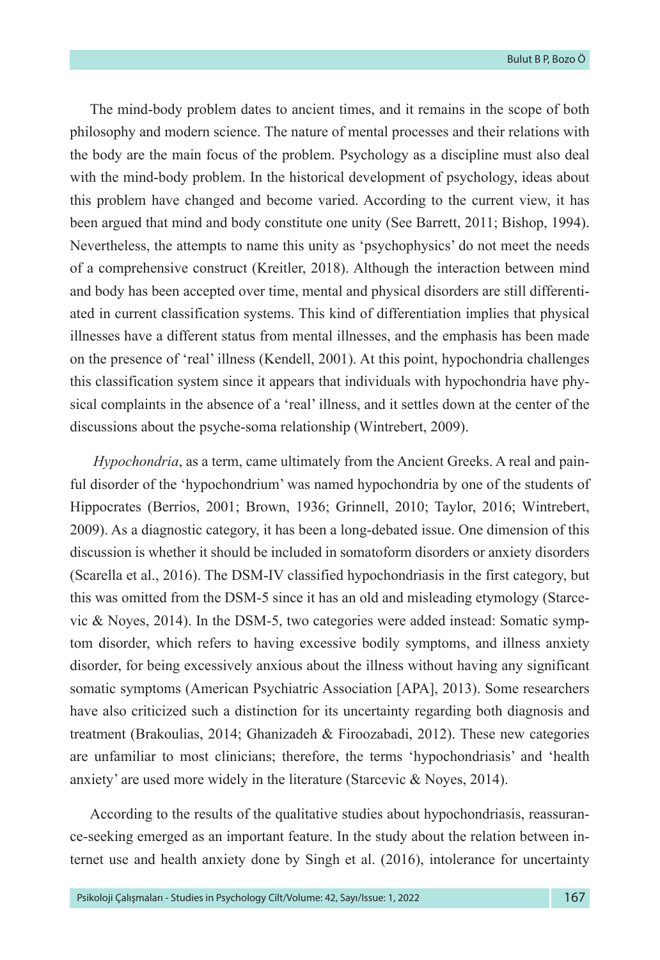The mind-body problem dates to ancient times, and it remains in the scope of both philosophy and modern science. The nature of mental processes and their relations with the body are the main focus of the problem. Psychology as a discipline must also deal with the mind-body problem. In the historical development of psychology, ideas about this problem have changed and become varied. According to the current view, it has been argued that mind and body constitute one unity (See Barrett, 2011; Bishop, 1994). Nevertheless, the attempts to name this unity as 'psychophysics' do not meet the needs of a comprehensive construct (Kreitler, 2018). Although the interaction between mind and body has been accepted over time, mental and physical disorders are still differentiated in current classification systems. This kind of differentiation implies that physical illnesses have a different status from mental illnesses, and the emphasis has been made on the presence of 'real' illness (Kendell, 2001). At this point, hypochondria challenges this classification system since it appears that individuals with hypochondria have physical complaints in the absence of a 'real' illness, and it settles down at the center of the discussions about the psyche-soma relationship (Wintrebert, 2009).

*Hypochondria*, as a term, came ultimately from the Ancient Greeks. A real and painful disorder of the 'hypochondrium' was named hypochondria by one of the students of Hippocrates (Berrios, 2001; Brown, 1936; Grinnell, 2010; Taylor, 2016; Wintrebert, 2009). As a diagnostic category, it has been a long-debated issue. One dimension of this discussion is whether it should be included in somatoform disorders or anxiety disorders (Scarella et al., 2016). The DSM-IV classified hypochondriasis in the first category, but this was omitted from the DSM-5 since it has an old and misleading etymology (Starcevic & Noyes, 2014). In the DSM-5, two categories were added instead: Somatic symptom disorder, which refers to having excessive bodily symptoms, and illness anxiety disorder, for being excessively anxious about the illness without having any significant somatic symptoms (American Psychiatric Association [APA], 2013). Some researchers have also criticized such a distinction for its uncertainty regarding both diagnosis and treatment (Brakoulias, 2014; Ghanizadeh & Firoozabadi, 2012). These new categories are unfamiliar to most clinicians; therefore, the terms 'hypochondriasis' and 'health anxiety' are used more widely in the literature (Starcevic & Noyes, 2014).

According to the results of the qualitative studies about hypochondriasis, reassurance-seeking emerged as an important feature. In the study about the relation between internet use and health anxiety done by Singh et al. (2016), intolerance for uncertainty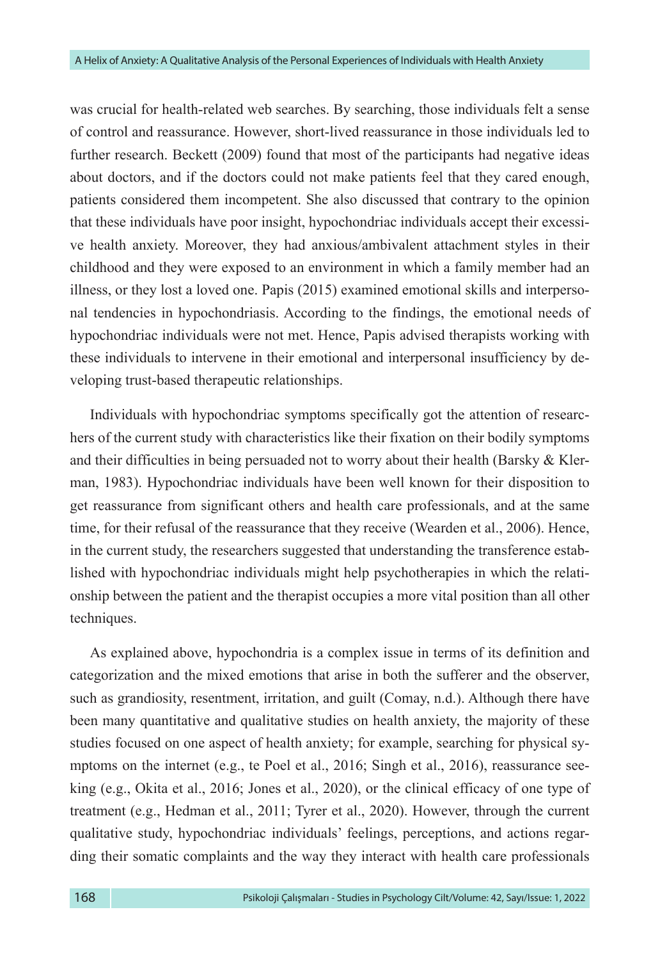was crucial for health-related web searches. By searching, those individuals felt a sense of control and reassurance. However, short-lived reassurance in those individuals led to further research. Beckett (2009) found that most of the participants had negative ideas about doctors, and if the doctors could not make patients feel that they cared enough, patients considered them incompetent. She also discussed that contrary to the opinion that these individuals have poor insight, hypochondriac individuals accept their excessive health anxiety. Moreover, they had anxious/ambivalent attachment styles in their childhood and they were exposed to an environment in which a family member had an illness, or they lost a loved one. Papis (2015) examined emotional skills and interpersonal tendencies in hypochondriasis. According to the findings, the emotional needs of hypochondriac individuals were not met. Hence, Papis advised therapists working with these individuals to intervene in their emotional and interpersonal insufficiency by developing trust-based therapeutic relationships.

Individuals with hypochondriac symptoms specifically got the attention of researchers of the current study with characteristics like their fixation on their bodily symptoms and their difficulties in being persuaded not to worry about their health (Barsky & Klerman, 1983). Hypochondriac individuals have been well known for their disposition to get reassurance from significant others and health care professionals, and at the same time, for their refusal of the reassurance that they receive (Wearden et al., 2006). Hence, in the current study, the researchers suggested that understanding the transference established with hypochondriac individuals might help psychotherapies in which the relationship between the patient and the therapist occupies a more vital position than all other techniques.

As explained above, hypochondria is a complex issue in terms of its definition and categorization and the mixed emotions that arise in both the sufferer and the observer, such as grandiosity, resentment, irritation, and guilt (Comay, n.d.). Although there have been many quantitative and qualitative studies on health anxiety, the majority of these studies focused on one aspect of health anxiety; for example, searching for physical symptoms on the internet (e.g., te Poel et al., 2016; Singh et al., 2016), reassurance seeking (e.g., Okita et al., 2016; Jones et al., 2020), or the clinical efficacy of one type of treatment (e.g., Hedman et al., 2011; Tyrer et al., 2020). However, through the current qualitative study, hypochondriac individuals' feelings, perceptions, and actions regarding their somatic complaints and the way they interact with health care professionals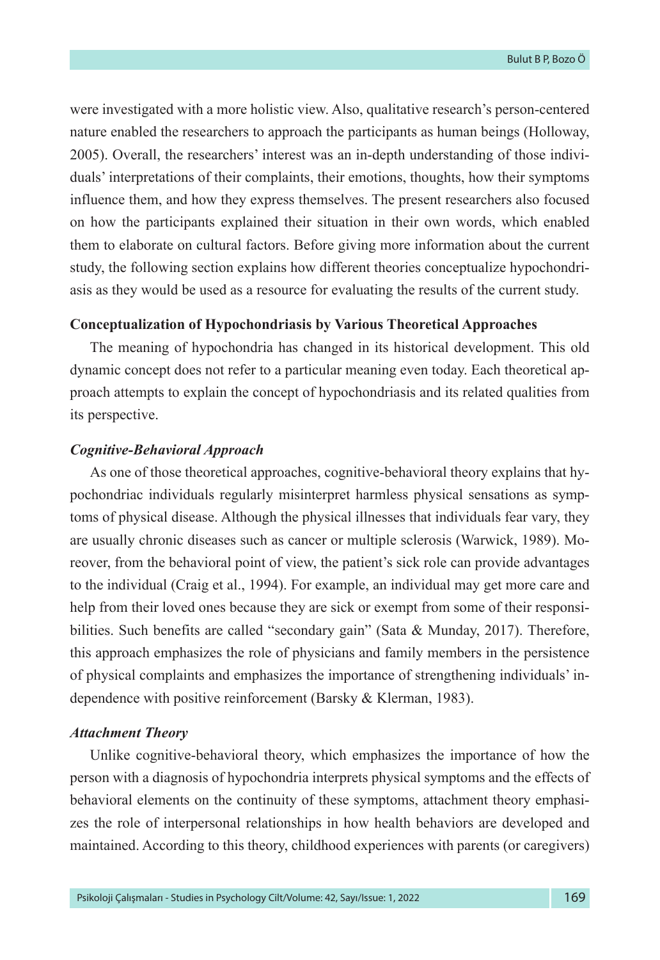were investigated with a more holistic view. Also, qualitative research's person-centered nature enabled the researchers to approach the participants as human beings (Holloway, 2005). Overall, the researchers' interest was an in-depth understanding of those individuals' interpretations of their complaints, their emotions, thoughts, how their symptoms influence them, and how they express themselves. The present researchers also focused on how the participants explained their situation in their own words, which enabled them to elaborate on cultural factors. Before giving more information about the current study, the following section explains how different theories conceptualize hypochondriasis as they would be used as a resource for evaluating the results of the current study.

#### **Conceptualization of Hypochondriasis by Various Theoretical Approaches**

The meaning of hypochondria has changed in its historical development. This old dynamic concept does not refer to a particular meaning even today. Each theoretical approach attempts to explain the concept of hypochondriasis and its related qualities from its perspective.

#### *Cognitive-Behavioral Approach*

As one of those theoretical approaches, cognitive-behavioral theory explains that hypochondriac individuals regularly misinterpret harmless physical sensations as symptoms of physical disease. Although the physical illnesses that individuals fear vary, they are usually chronic diseases such as cancer or multiple sclerosis (Warwick, 1989). Moreover, from the behavioral point of view, the patient's sick role can provide advantages to the individual (Craig et al., 1994). For example, an individual may get more care and help from their loved ones because they are sick or exempt from some of their responsibilities. Such benefits are called "secondary gain" (Sata & Munday, 2017). Therefore, this approach emphasizes the role of physicians and family members in the persistence of physical complaints and emphasizes the importance of strengthening individuals' independence with positive reinforcement (Barsky & Klerman, 1983).

#### *Attachment Theory*

Unlike cognitive-behavioral theory, which emphasizes the importance of how the person with a diagnosis of hypochondria interprets physical symptoms and the effects of behavioral elements on the continuity of these symptoms, attachment theory emphasizes the role of interpersonal relationships in how health behaviors are developed and maintained. According to this theory, childhood experiences with parents (or caregivers)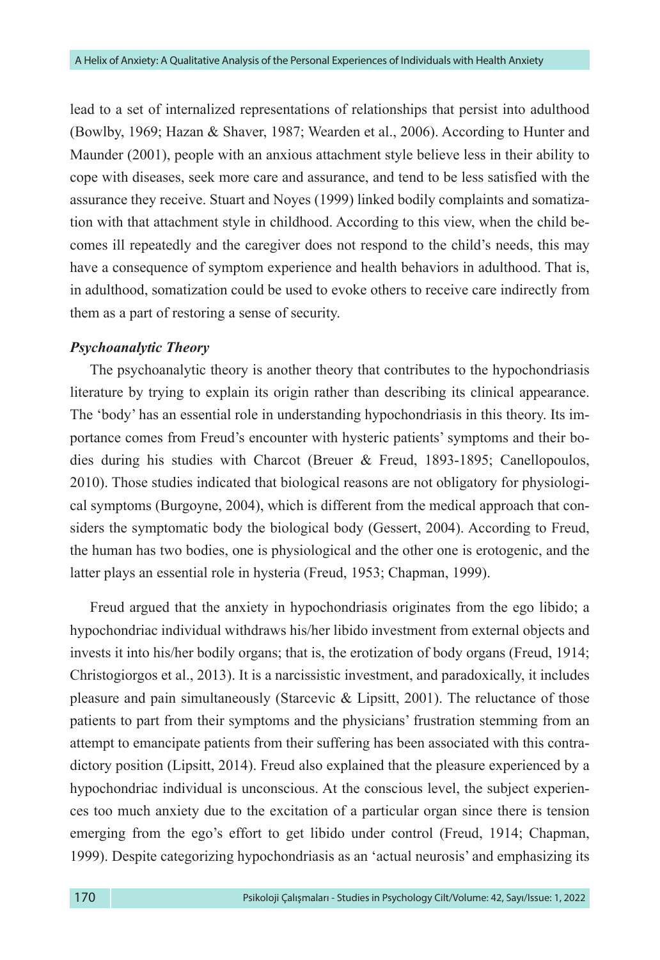lead to a set of internalized representations of relationships that persist into adulthood (Bowlby, 1969; Hazan & Shaver, 1987; Wearden et al., 2006). According to Hunter and Maunder (2001), people with an anxious attachment style believe less in their ability to cope with diseases, seek more care and assurance, and tend to be less satisfied with the assurance they receive. Stuart and Noyes (1999) linked bodily complaints and somatization with that attachment style in childhood. According to this view, when the child becomes ill repeatedly and the caregiver does not respond to the child's needs, this may have a consequence of symptom experience and health behaviors in adulthood. That is, in adulthood, somatization could be used to evoke others to receive care indirectly from them as a part of restoring a sense of security.

#### *Psychoanalytic Theory*

The psychoanalytic theory is another theory that contributes to the hypochondriasis literature by trying to explain its origin rather than describing its clinical appearance. The 'body' has an essential role in understanding hypochondriasis in this theory. Its importance comes from Freud's encounter with hysteric patients' symptoms and their bodies during his studies with Charcot (Breuer & Freud, 1893-1895; Canellopoulos, 2010). Those studies indicated that biological reasons are not obligatory for physiological symptoms (Burgoyne, 2004), which is different from the medical approach that considers the symptomatic body the biological body (Gessert, 2004). According to Freud, the human has two bodies, one is physiological and the other one is erotogenic, and the latter plays an essential role in hysteria (Freud, 1953; Chapman, 1999).

Freud argued that the anxiety in hypochondriasis originates from the ego libido; a hypochondriac individual withdraws his/her libido investment from external objects and invests it into his/her bodily organs; that is, the erotization of body organs (Freud, 1914; Christogiorgos et al., 2013). It is a narcissistic investment, and paradoxically, it includes pleasure and pain simultaneously (Starcevic & Lipsitt, 2001). The reluctance of those patients to part from their symptoms and the physicians' frustration stemming from an attempt to emancipate patients from their suffering has been associated with this contradictory position (Lipsitt, 2014). Freud also explained that the pleasure experienced by a hypochondriac individual is unconscious. At the conscious level, the subject experiences too much anxiety due to the excitation of a particular organ since there is tension emerging from the ego's effort to get libido under control (Freud, 1914; Chapman, 1999). Despite categorizing hypochondriasis as an 'actual neurosis' and emphasizing its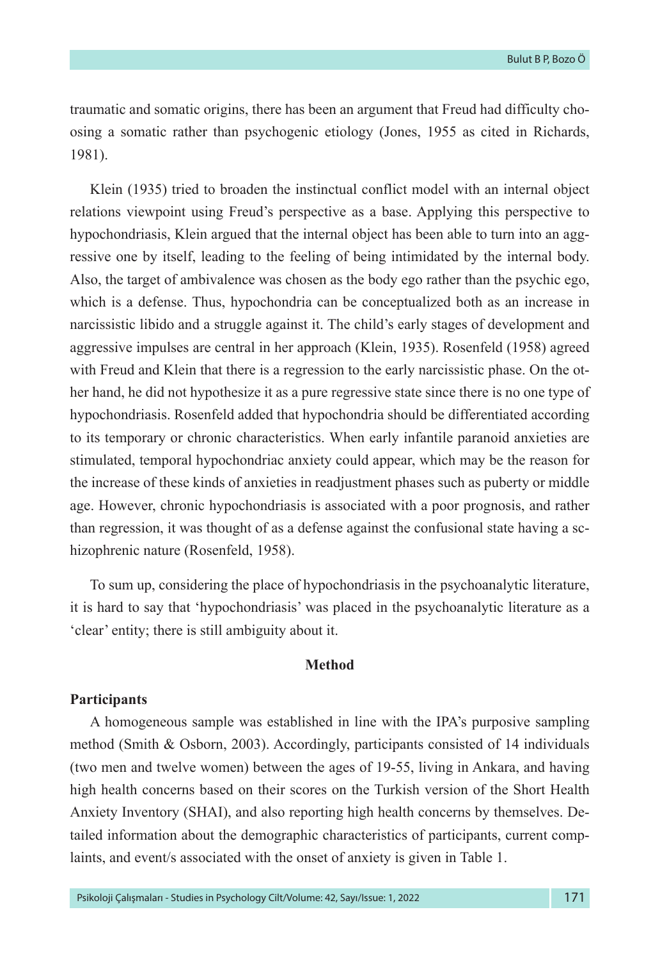traumatic and somatic origins, there has been an argument that Freud had difficulty choosing a somatic rather than psychogenic etiology (Jones, 1955 as cited in Richards, 1981).

Klein (1935) tried to broaden the instinctual conflict model with an internal object relations viewpoint using Freud's perspective as a base. Applying this perspective to hypochondriasis, Klein argued that the internal object has been able to turn into an aggressive one by itself, leading to the feeling of being intimidated by the internal body. Also, the target of ambivalence was chosen as the body ego rather than the psychic ego, which is a defense. Thus, hypochondria can be conceptualized both as an increase in narcissistic libido and a struggle against it. The child's early stages of development and aggressive impulses are central in her approach (Klein, 1935). Rosenfeld (1958) agreed with Freud and Klein that there is a regression to the early narcissistic phase. On the other hand, he did not hypothesize it as a pure regressive state since there is no one type of hypochondriasis. Rosenfeld added that hypochondria should be differentiated according to its temporary or chronic characteristics. When early infantile paranoid anxieties are stimulated, temporal hypochondriac anxiety could appear, which may be the reason for the increase of these kinds of anxieties in readjustment phases such as puberty or middle age. However, chronic hypochondriasis is associated with a poor prognosis, and rather than regression, it was thought of as a defense against the confusional state having a schizophrenic nature (Rosenfeld, 1958).

To sum up, considering the place of hypochondriasis in the psychoanalytic literature, it is hard to say that 'hypochondriasis' was placed in the psychoanalytic literature as a 'clear' entity; there is still ambiguity about it.

### **Method**

#### **Participants**

A homogeneous sample was established in line with the IPA's purposive sampling method (Smith & Osborn, 2003). Accordingly, participants consisted of 14 individuals (two men and twelve women) between the ages of 19-55, living in Ankara, and having high health concerns based on their scores on the Turkish version of the Short Health Anxiety Inventory (SHAI), and also reporting high health concerns by themselves. Detailed information about the demographic characteristics of participants, current complaints, and event/s associated with the onset of anxiety is given in Table 1.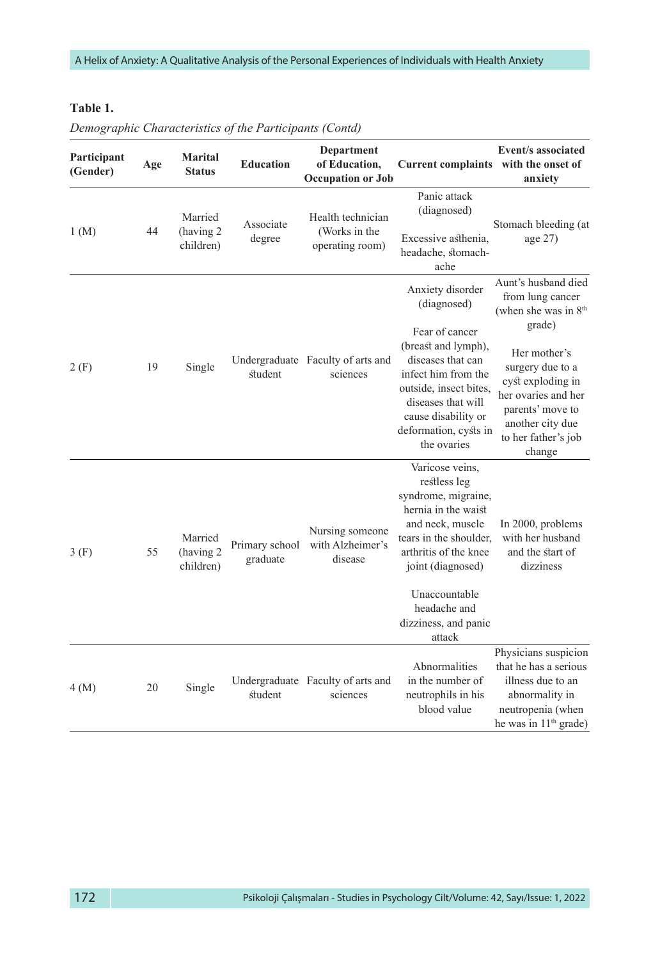#### **Table 1.**

| Participant<br>(Gender) | Age | <b>Marital</b><br><b>Status</b>   | <b>Education</b>           | <b>Department</b><br>of Education,<br><b>Occupation or Job</b> | Current complaints with the onset of                                                                                                                                                                                                         | <b>Event/s associated</b><br>anxiety                                                                                                                                                                                                 |
|-------------------------|-----|-----------------------------------|----------------------------|----------------------------------------------------------------|----------------------------------------------------------------------------------------------------------------------------------------------------------------------------------------------------------------------------------------------|--------------------------------------------------------------------------------------------------------------------------------------------------------------------------------------------------------------------------------------|
| 1(M)                    | 44  | Married<br>(having 2<br>children) | Associate<br>degree        | Health technician<br>(Works in the<br>operating room)          | Panic attack<br>(diagnosed)<br>Excessive asthenia,<br>headache, stomach-<br>ache                                                                                                                                                             | Stomach bleeding (at<br>age 27)                                                                                                                                                                                                      |
| 2(F)                    | 19  | Single                            | student                    | Undergraduate Faculty of arts and<br>sciences                  | Anxiety disorder<br>(diagnosed)<br>Fear of cancer<br>(breast and lymph),<br>diseases that can<br>infect him from the<br>outside, insect bites,<br>diseases that will<br>cause disability or<br>deformation, cysts in<br>the ovaries          | Aunt's husband died<br>from lung cancer<br>(when she was in $8th$<br>grade)<br>Her mother's<br>surgery due to a<br>cyst exploding in<br>her ovaries and her<br>parents' move to<br>another city due<br>to her father's job<br>change |
| 3(F)                    | 55  | Married<br>(having 2<br>children) | Primary school<br>graduate | Nursing someone<br>with Alzheimer's<br>disease                 | Varicose veins.<br>restless leg<br>syndrome, migraine,<br>hernia in the waist<br>and neck, muscle<br>tears in the shoulder,<br>arthritis of the knee<br>joint (diagnosed)<br>Unaccountable<br>headache and<br>dizziness, and panic<br>attack | In 2000, problems<br>with her husband<br>and the start of<br>dizziness                                                                                                                                                               |
| 4(M)                    | 20  | Single                            | student                    | Undergraduate Faculty of arts and<br>sciences                  | Abnormalities<br>in the number of<br>neutrophils in his<br>blood value                                                                                                                                                                       | Physicians suspicion<br>that he has a serious<br>illness due to an<br>abnormality in<br>neutropenia (when<br>he was in 11 <sup>th</sup> grade)                                                                                       |

*Demographic Characteristics of the Participants (Contd)*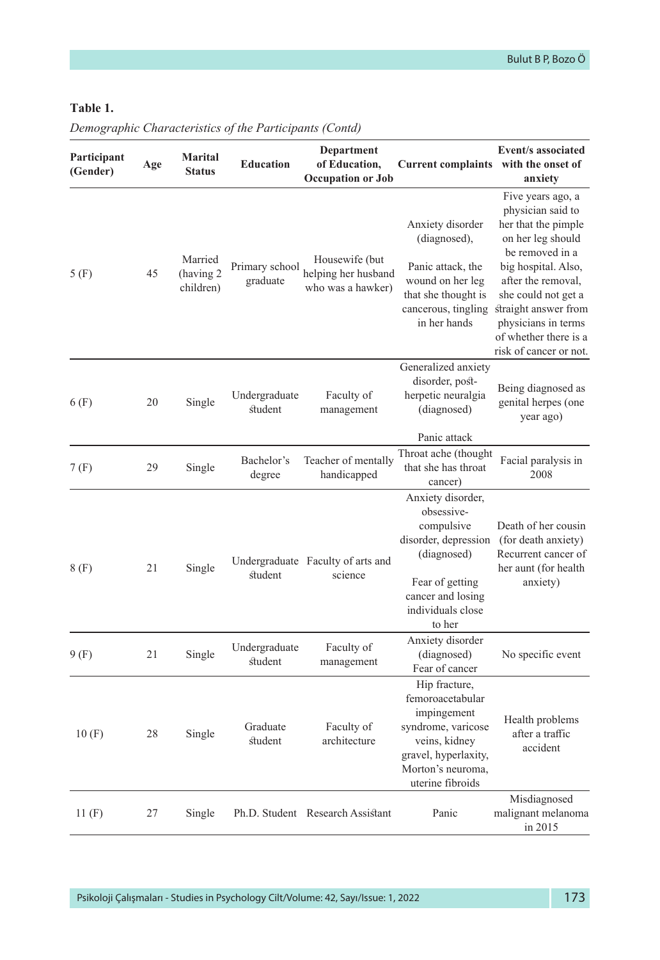### **Table 1.**

| Participant<br>(Gender) | Age | <b>Marital</b><br><b>Status</b>   | <b>Education</b>           | <b>Department</b><br>of Education,<br><b>Occupation or Job</b> | <b>Current complaints</b>                                                                                                                                   | <b>Event/s associated</b><br>with the onset of<br>anxiety                                                                                                                                                                                                                   |
|-------------------------|-----|-----------------------------------|----------------------------|----------------------------------------------------------------|-------------------------------------------------------------------------------------------------------------------------------------------------------------|-----------------------------------------------------------------------------------------------------------------------------------------------------------------------------------------------------------------------------------------------------------------------------|
| 5(F)                    | 45  | Married<br>(having 2<br>children) | Primary school<br>graduate | Housewife (but<br>helping her husband<br>who was a hawker)     | Anxiety disorder<br>(diagnosed),<br>Panic attack, the<br>wound on her leg<br>that she thought is<br>cancerous, tingling<br>in her hands                     | Five years ago, a<br>physician said to<br>her that the pimple<br>on her leg should<br>be removed in a<br>big hospital. Also,<br>after the removal,<br>she could not get a<br>straight answer from<br>physicians in terms<br>of whether there is a<br>risk of cancer or not. |
| 6(F)                    | 20  | Single                            | Undergraduate<br>student   | Faculty of<br>management                                       | Generalized anxiety<br>disorder, post-<br>herpetic neuralgia<br>(diagnosed)                                                                                 | Being diagnosed as<br>genital herpes (one<br>year ago)                                                                                                                                                                                                                      |
| 7(F)                    | 29  | Single                            | Bachelor's<br>degree       | Teacher of mentally<br>handicapped                             | Panic attack<br>Throat ache (thought<br>that she has throat<br>cancer)                                                                                      | Facial paralysis in<br>2008                                                                                                                                                                                                                                                 |
| 8(F)                    | 21  | Single                            | student                    | Undergraduate Faculty of arts and<br>science                   | Anxiety disorder,<br>obsessive-<br>compulsive<br>disorder, depression<br>(diagnosed)<br>Fear of getting<br>cancer and losing<br>individuals close<br>to her | Death of her cousin<br>(for death anxiety)<br>Recurrent cancer of<br>her aunt (for health<br>anxiety)                                                                                                                                                                       |
| 9(F)                    | 21  | Single                            | Undergraduate<br>student   | Faculty of<br>management                                       | Anxiety disorder<br>(diagnosed)<br>Fear of cancer                                                                                                           | No specific event                                                                                                                                                                                                                                                           |
| 10(F)                   | 28  | Single                            | Graduate<br>student        | Faculty of<br>architecture                                     | Hip fracture,<br>femoroacetabular<br>impingement<br>syndrome, varicose<br>veins, kidney<br>gravel, hyperlaxity,<br>Morton's neuroma.<br>uterine fibroids    | Health problems<br>after a traffic<br>accident                                                                                                                                                                                                                              |
| 11 $(F)$                | 27  | Single                            |                            | Ph.D. Student Research Assistant                               | Panic                                                                                                                                                       | Misdiagnosed<br>malignant melanoma<br>in 2015                                                                                                                                                                                                                               |

*Demographic Characteristics of the Participants (Contd)*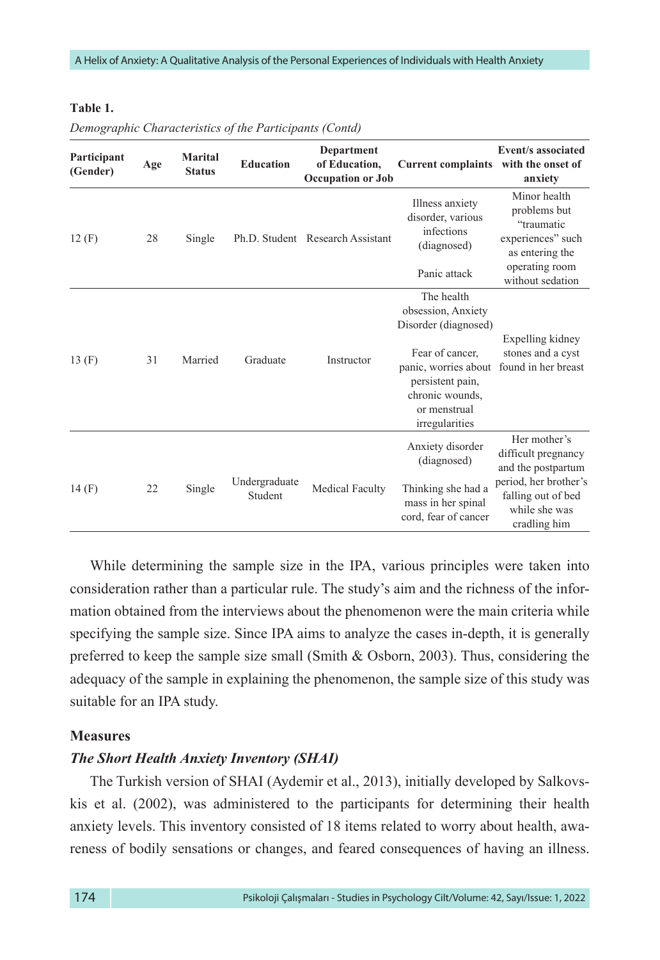#### **Table 1.**

| Participant<br>(Gender) | Age | Marital<br><b>Status</b> | <b>Education</b>         | <b>Department</b><br>of Education,<br><b>Occupation or Job</b> | Current complaints with the onset of                                  | Event/s associated<br>anxiety                                                      |
|-------------------------|-----|--------------------------|--------------------------|----------------------------------------------------------------|-----------------------------------------------------------------------|------------------------------------------------------------------------------------|
| 12(F)                   | 28  | Single                   |                          | Ph.D. Student Research Assistant                               | Illness anxiety<br>disorder, various<br>infections<br>(diagnosed)     | Minor health<br>problems but<br>"traumatic<br>experiences" such<br>as entering the |
|                         |     |                          |                          |                                                                | Panic attack                                                          | operating room<br>without sedation                                                 |
|                         |     |                          |                          |                                                                | The health<br>obsession, Anxiety<br>Disorder (diagnosed)              |                                                                                    |
| 13 $(F)$                | 31  | Married                  | Graduate                 | Instructor                                                     | Fear of cancer.<br>panic, worries about                               | Expelling kidney<br>stones and a cyst<br>found in her breast                       |
|                         |     |                          |                          |                                                                | persistent pain,<br>chronic wounds,<br>or menstrual<br>irregularities |                                                                                    |
|                         |     |                          |                          |                                                                | Anxiety disorder<br>(diagnosed)                                       | Her mother's<br>difficult pregnancy<br>and the postpartum                          |
| 14(F)                   | 22  | Single                   | Undergraduate<br>Student | Medical Faculty                                                | Thinking she had a<br>mass in her spinal<br>cord, fear of cancer      | period, her brother's<br>falling out of bed<br>while she was<br>cradling him       |

*Demographic Characteristics of the Participants (Contd)* 

While determining the sample size in the IPA, various principles were taken into consideration rather than a particular rule. The study's aim and the richness of the information obtained from the interviews about the phenomenon were the main criteria while specifying the sample size. Since IPA aims to analyze the cases in-depth, it is generally preferred to keep the sample size small (Smith & Osborn, 2003). Thus, considering the adequacy of the sample in explaining the phenomenon, the sample size of this study was suitable for an IPA study.

#### **Measures**

#### *The Short Health Anxiety Inventory (SHAI)*

The Turkish version of SHAI (Aydemir et al., 2013), initially developed by Salkovskis et al. (2002), was administered to the participants for determining their health anxiety levels. This inventory consisted of 18 items related to worry about health, awareness of bodily sensations or changes, and feared consequences of having an illness.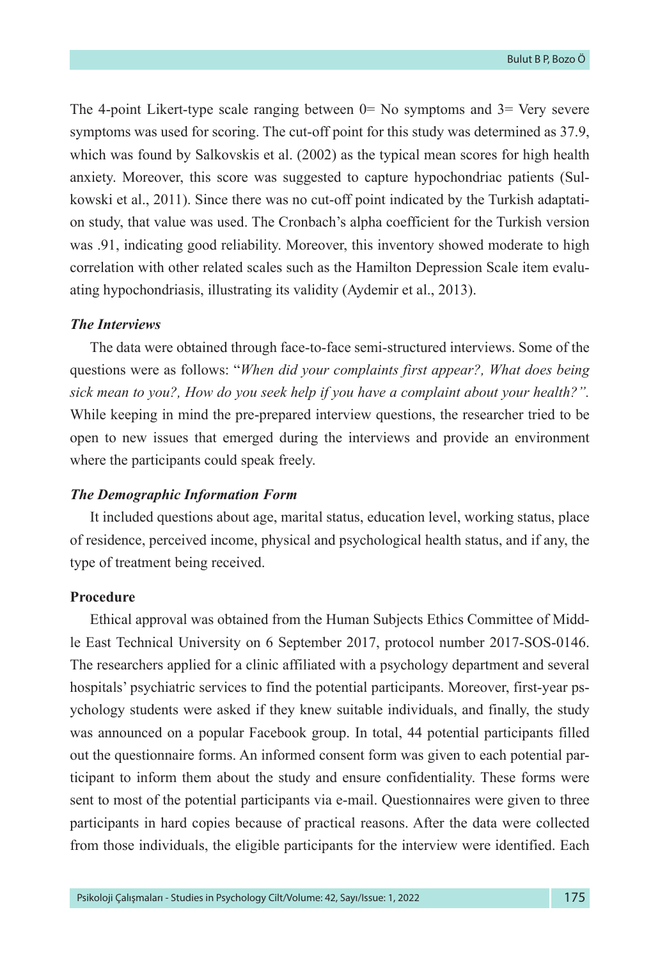The 4-point Likert-type scale ranging between  $0=$  No symptoms and  $3=$  Very severe symptoms was used for scoring. The cut-off point for this study was determined as 37.9, which was found by Salkovskis et al. (2002) as the typical mean scores for high health anxiety. Moreover, this score was suggested to capture hypochondriac patients (Sulkowski et al., 2011). Since there was no cut-off point indicated by the Turkish adaptation study, that value was used. The Cronbach's alpha coefficient for the Turkish version was .91, indicating good reliability. Moreover, this inventory showed moderate to high correlation with other related scales such as the Hamilton Depression Scale item evaluating hypochondriasis, illustrating its validity (Aydemir et al., 2013).

#### *The Interviews*

The data were obtained through face-to-face semi-structured interviews. Some of the questions were as follows: "*When did your complaints first appear?, What does being sick mean to you?, How do you seek help if you have a complaint about your health?".* While keeping in mind the pre-prepared interview questions, the researcher tried to be open to new issues that emerged during the interviews and provide an environment where the participants could speak freely.

#### *The Demographic Information Form*

It included questions about age, marital status, education level, working status, place of residence, perceived income, physical and psychological health status, and if any, the type of treatment being received.

#### **Procedure**

Ethical approval was obtained from the Human Subjects Ethics Committee of Middle East Technical University on 6 September 2017, protocol number 2017-SOS-0146. The researchers applied for a clinic affiliated with a psychology department and several hospitals' psychiatric services to find the potential participants. Moreover, first-year psychology students were asked if they knew suitable individuals, and finally, the study was announced on a popular Facebook group. In total, 44 potential participants filled out the questionnaire forms. An informed consent form was given to each potential participant to inform them about the study and ensure confidentiality. These forms were sent to most of the potential participants via e-mail. Questionnaires were given to three participants in hard copies because of practical reasons. After the data were collected from those individuals, the eligible participants for the interview were identified. Each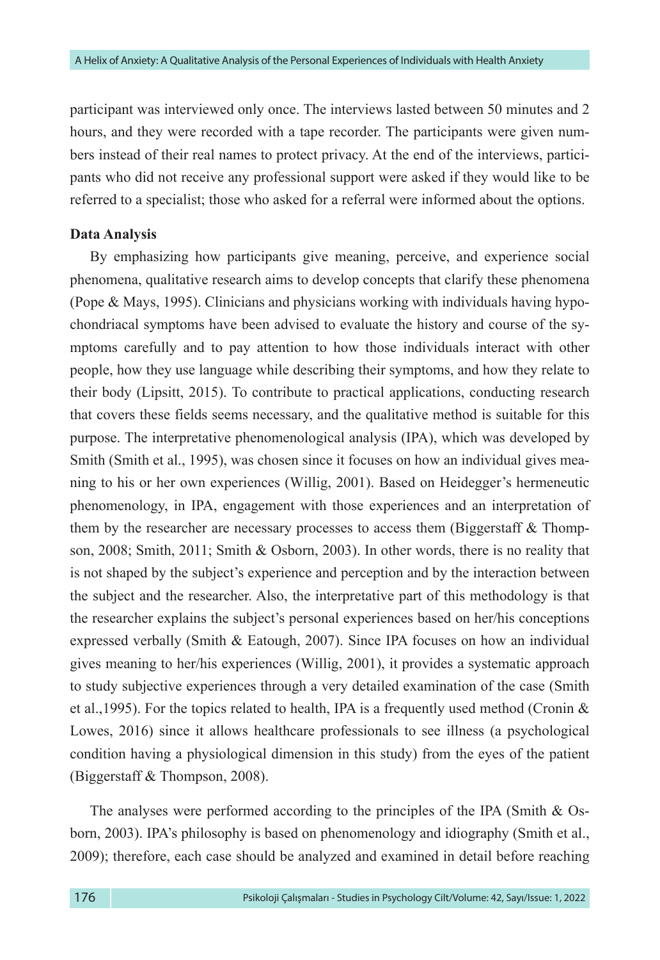participant was interviewed only once. The interviews lasted between 50 minutes and 2 hours, and they were recorded with a tape recorder. The participants were given numbers instead of their real names to protect privacy. At the end of the interviews, participants who did not receive any professional support were asked if they would like to be referred to a specialist; those who asked for a referral were informed about the options.

#### **Data Analysis**

By emphasizing how participants give meaning, perceive, and experience social phenomena, qualitative research aims to develop concepts that clarify these phenomena (Pope & Mays, 1995). Clinicians and physicians working with individuals having hypochondriacal symptoms have been advised to evaluate the history and course of the symptoms carefully and to pay attention to how those individuals interact with other people, how they use language while describing their symptoms, and how they relate to their body (Lipsitt, 2015). To contribute to practical applications, conducting research that covers these fields seems necessary, and the qualitative method is suitable for this purpose. The interpretative phenomenological analysis (IPA), which was developed by Smith (Smith et al., 1995), was chosen since it focuses on how an individual gives meaning to his or her own experiences (Willig, 2001). Based on Heidegger's hermeneutic phenomenology, in IPA, engagement with those experiences and an interpretation of them by the researcher are necessary processes to access them (Biggerstaff  $\&$  Thompson, 2008; Smith, 2011; Smith & Osborn, 2003). In other words, there is no reality that is not shaped by the subject's experience and perception and by the interaction between the subject and the researcher. Also, the interpretative part of this methodology is that the researcher explains the subject's personal experiences based on her/his conceptions expressed verbally (Smith & Eatough, 2007). Since IPA focuses on how an individual gives meaning to her/his experiences (Willig, 2001), it provides a systematic approach to study subjective experiences through a very detailed examination of the case (Smith et al., 1995). For the topics related to health, IPA is a frequently used method (Cronin  $\&$ Lowes, 2016) since it allows healthcare professionals to see illness (a psychological condition having a physiological dimension in this study) from the eyes of the patient (Biggerstaff & Thompson, 2008).

The analyses were performed according to the principles of the IPA (Smith & Osborn, 2003). IPA's philosophy is based on phenomenology and idiography (Smith et al., 2009); therefore, each case should be analyzed and examined in detail before reaching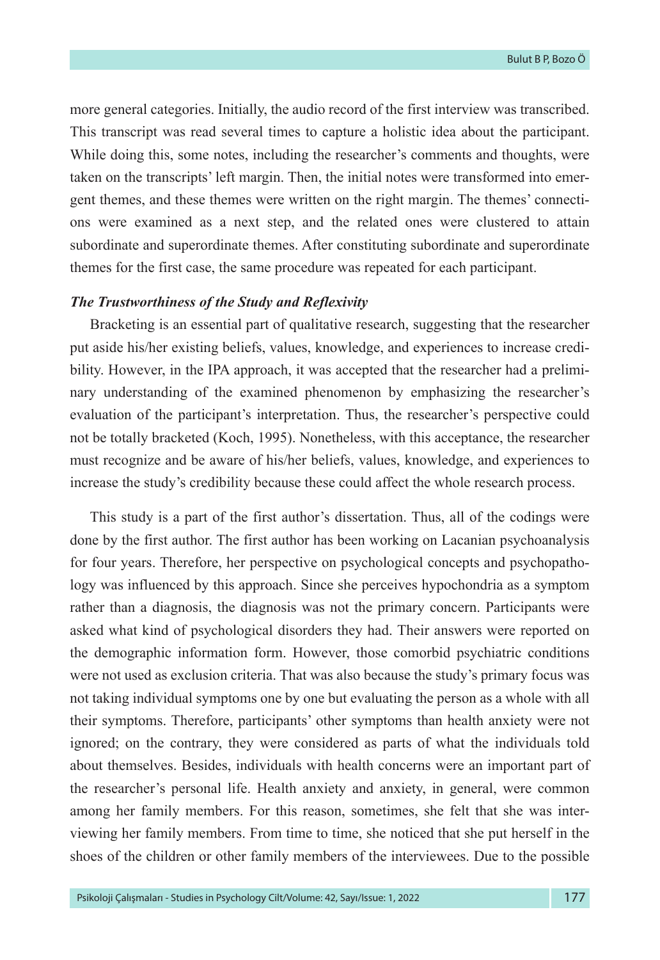more general categories. Initially, the audio record of the first interview was transcribed. This transcript was read several times to capture a holistic idea about the participant. While doing this, some notes, including the researcher's comments and thoughts, were taken on the transcripts' left margin. Then, the initial notes were transformed into emergent themes, and these themes were written on the right margin. The themes' connections were examined as a next step, and the related ones were clustered to attain subordinate and superordinate themes. After constituting subordinate and superordinate themes for the first case, the same procedure was repeated for each participant.

#### *The Trustworthiness of the Study and Reflexivity*

Bracketing is an essential part of qualitative research, suggesting that the researcher put aside his/her existing beliefs, values, knowledge, and experiences to increase credibility. However, in the IPA approach, it was accepted that the researcher had a preliminary understanding of the examined phenomenon by emphasizing the researcher's evaluation of the participant's interpretation. Thus, the researcher's perspective could not be totally bracketed (Koch, 1995). Nonetheless, with this acceptance, the researcher must recognize and be aware of his/her beliefs, values, knowledge, and experiences to increase the study's credibility because these could affect the whole research process.

This study is a part of the first author's dissertation. Thus, all of the codings were done by the first author. The first author has been working on Lacanian psychoanalysis for four years. Therefore, her perspective on psychological concepts and psychopathology was influenced by this approach. Since she perceives hypochondria as a symptom rather than a diagnosis, the diagnosis was not the primary concern. Participants were asked what kind of psychological disorders they had. Their answers were reported on the demographic information form. However, those comorbid psychiatric conditions were not used as exclusion criteria. That was also because the study's primary focus was not taking individual symptoms one by one but evaluating the person as a whole with all their symptoms. Therefore, participants' other symptoms than health anxiety were not ignored; on the contrary, they were considered as parts of what the individuals told about themselves. Besides, individuals with health concerns were an important part of the researcher's personal life. Health anxiety and anxiety, in general, were common among her family members. For this reason, sometimes, she felt that she was interviewing her family members. From time to time, she noticed that she put herself in the shoes of the children or other family members of the interviewees. Due to the possible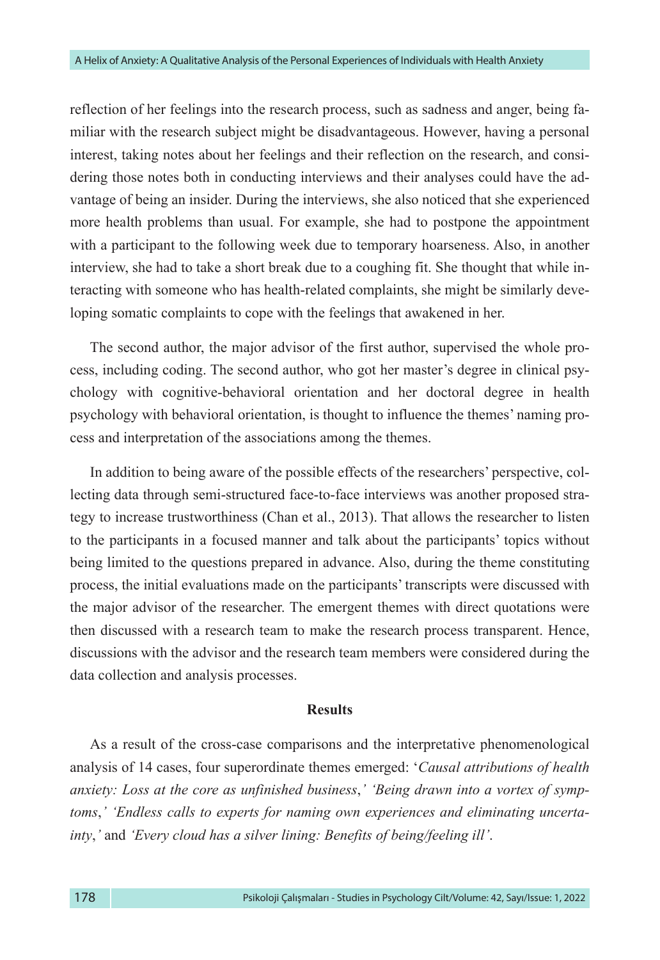reflection of her feelings into the research process, such as sadness and anger, being familiar with the research subject might be disadvantageous. However, having a personal interest, taking notes about her feelings and their reflection on the research, and considering those notes both in conducting interviews and their analyses could have the advantage of being an insider. During the interviews, she also noticed that she experienced more health problems than usual. For example, she had to postpone the appointment with a participant to the following week due to temporary hoarseness. Also, in another interview, she had to take a short break due to a coughing fit. She thought that while interacting with someone who has health-related complaints, she might be similarly developing somatic complaints to cope with the feelings that awakened in her.

The second author, the major advisor of the first author, supervised the whole process, including coding. The second author, who got her master's degree in clinical psychology with cognitive-behavioral orientation and her doctoral degree in health psychology with behavioral orientation, is thought to influence the themes' naming process and interpretation of the associations among the themes.

In addition to being aware of the possible effects of the researchers' perspective, collecting data through semi-structured face-to-face interviews was another proposed strategy to increase trustworthiness (Chan et al., 2013). That allows the researcher to listen to the participants in a focused manner and talk about the participants' topics without being limited to the questions prepared in advance. Also, during the theme constituting process, the initial evaluations made on the participants' transcripts were discussed with the major advisor of the researcher. The emergent themes with direct quotations were then discussed with a research team to make the research process transparent. Hence, discussions with the advisor and the research team members were considered during the data collection and analysis processes.

#### **Results**

As a result of the cross-case comparisons and the interpretative phenomenological analysis of 14 cases, four superordinate themes emerged: '*Causal attributions of health anxiety: Loss at the core as unfinished business*,*' 'Being drawn into a vortex of symptoms*,*' 'Endless calls to experts for naming own experiences and eliminating uncertainty*,*'* and *'Every cloud has a silver lining: Benefits of being/feeling ill'*.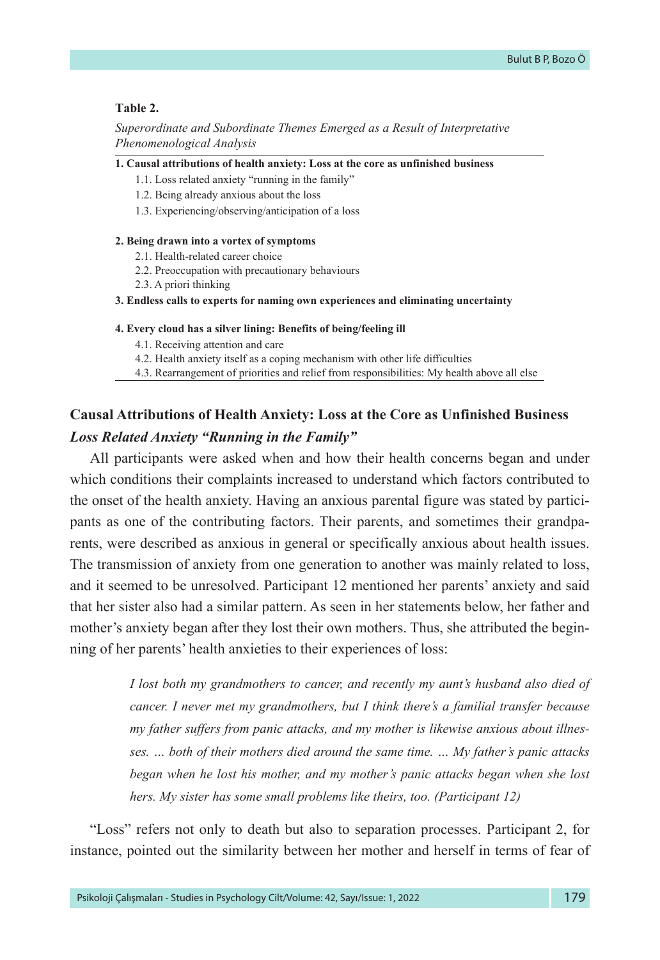#### **Table 2.**

#### *Superordinate and Subordinate Themes Emerged as a Result of Interpretative Phenomenological Analysis*

#### **1. Causal attributions of health anxiety: Loss at the core as unfinished business**

- 1.1. Loss related anxiety "running in the family"
- 1.2. Being already anxious about the loss
- 1.3. Experiencing/observing/anticipation of a loss

#### **2. Being drawn into a vortex of symptoms**

- 2.1. Health-related career choice
- 2.2. Preoccupation with precautionary behaviours
- 2.3. A priori thinking

**3. Endless calls to experts for naming own experiences and eliminating uncertainty** 

#### **4. Every cloud has a silver lining: Benefits of being/feeling ill**

- 4.1. Receiving attention and care
- 4.2. Health anxiety itself as a coping mechanism with other life difficulties

4.3. Rearrangement of priorities and relief from responsibilities: My health above all else

## **Causal Attributions of Health Anxiety: Loss at the Core as Unfinished Business** *Loss Related Anxiety "Running in the Family"*

All participants were asked when and how their health concerns began and under which conditions their complaints increased to understand which factors contributed to the onset of the health anxiety. Having an anxious parental figure was stated by participants as one of the contributing factors. Their parents, and sometimes their grandparents, were described as anxious in general or specifically anxious about health issues. The transmission of anxiety from one generation to another was mainly related to loss, and it seemed to be unresolved. Participant 12 mentioned her parents' anxiety and said that her sister also had a similar pattern. As seen in her statements below, her father and mother's anxiety began after they lost their own mothers. Thus, she attributed the beginning of her parents' health anxieties to their experiences of loss:

> *I lost both my grandmothers to cancer, and recently my aunt's husband also died of cancer. I never met my grandmothers, but I think there's a familial transfer because my father suffers from panic attacks, and my mother is likewise anxious about illnesses. … both of their mothers died around the same time. … My father's panic attacks began when he lost his mother, and my mother's panic attacks began when she lost hers. My sister has some small problems like theirs, too. (Participant 12)*

"Loss" refers not only to death but also to separation processes. Participant 2, for instance, pointed out the similarity between her mother and herself in terms of fear of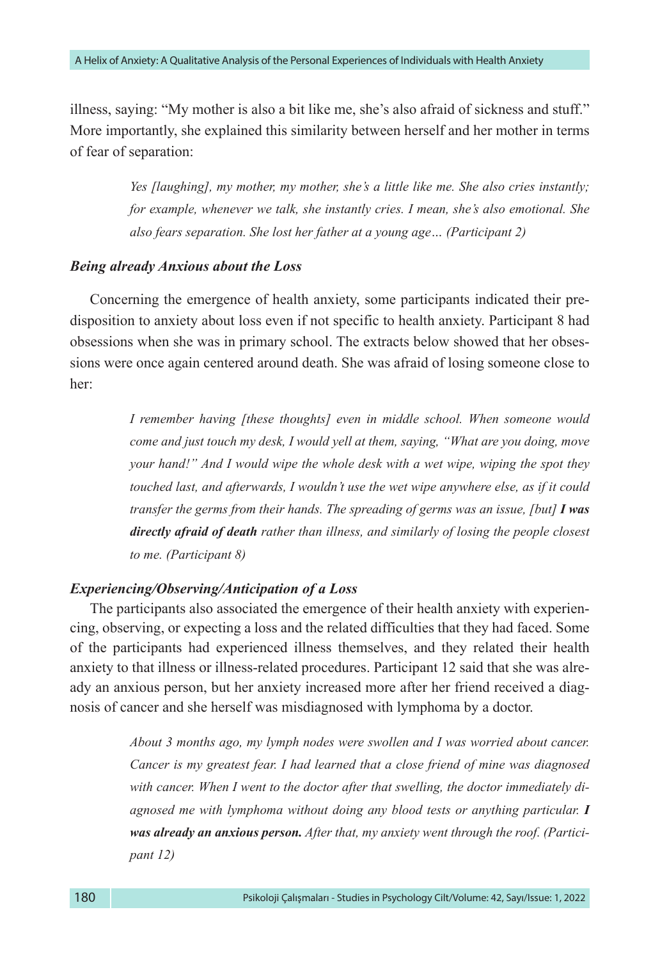illness, saying: "My mother is also a bit like me, she's also afraid of sickness and stuff." More importantly, she explained this similarity between herself and her mother in terms of fear of separation:

> *Yes [laughing], my mother, my mother, she's a little like me. She also cries instantly; for example, whenever we talk, she instantly cries. I mean, she's also emotional. She also fears separation. She lost her father at a young age… (Participant 2)*

#### *Being already Anxious about the Loss*

Concerning the emergence of health anxiety, some participants indicated their predisposition to anxiety about loss even if not specific to health anxiety. Participant 8 had obsessions when she was in primary school. The extracts below showed that her obsessions were once again centered around death. She was afraid of losing someone close to her:

> *I remember having [these thoughts] even in middle school. When someone would come and just touch my desk, I would yell at them, saying, "What are you doing, move your hand!" And I would wipe the whole desk with a wet wipe, wiping the spot they touched last, and afterwards, I wouldn't use the wet wipe anywhere else, as if it could transfer the germs from their hands. The spreading of germs was an issue, [but] I was directly afraid of death rather than illness, and similarly of losing the people closest to me. (Participant 8)*

#### *Experiencing/Observing/Anticipation of a Loss*

The participants also associated the emergence of their health anxiety with experiencing, observing, or expecting a loss and the related difficulties that they had faced. Some of the participants had experienced illness themselves, and they related their health anxiety to that illness or illness-related procedures. Participant 12 said that she was already an anxious person, but her anxiety increased more after her friend received a diagnosis of cancer and she herself was misdiagnosed with lymphoma by a doctor.

> *About 3 months ago, my lymph nodes were swollen and I was worried about cancer. Cancer is my greatest fear. I had learned that a close friend of mine was diagnosed with cancer. When I went to the doctor after that swelling, the doctor immediately di*agnosed me with lymphoma without doing any blood tests or anything particular. **I** *was already an anxious person. After that, my anxiety went through the roof. (Participant 12)*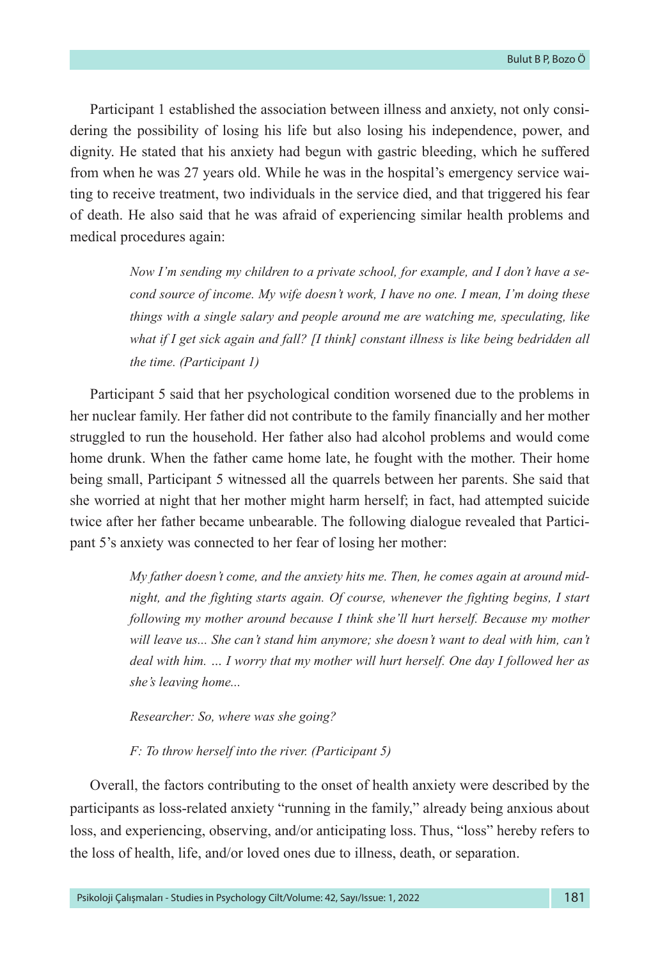Participant 1 established the association between illness and anxiety, not only considering the possibility of losing his life but also losing his independence, power, and dignity. He stated that his anxiety had begun with gastric bleeding, which he suffered from when he was 27 years old. While he was in the hospital's emergency service waiting to receive treatment, two individuals in the service died, and that triggered his fear of death. He also said that he was afraid of experiencing similar health problems and medical procedures again:

> *Now I'm sending my children to a private school, for example, and I don't have a second source of income. My wife doesn't work, I have no one. I mean, I'm doing these things with a single salary and people around me are watching me, speculating, like what if I get sick again and fall? [I think] constant illness is like being bedridden all the time. (Participant 1)*

Participant 5 said that her psychological condition worsened due to the problems in her nuclear family. Her father did not contribute to the family financially and her mother struggled to run the household. Her father also had alcohol problems and would come home drunk. When the father came home late, he fought with the mother. Their home being small, Participant 5 witnessed all the quarrels between her parents. She said that she worried at night that her mother might harm herself; in fact, had attempted suicide twice after her father became unbearable. The following dialogue revealed that Participant 5's anxiety was connected to her fear of losing her mother:

> *My father doesn't come, and the anxiety hits me. Then, he comes again at around midnight, and the fighting starts again. Of course, whenever the fighting begins, I start following my mother around because I think she'll hurt herself. Because my mother will leave us... She can't stand him anymore; she doesn't want to deal with him, can't deal with him. … I worry that my mother will hurt herself. One day I followed her as she's leaving home...*

*Researcher: So, where was she going?*

*F: To throw herself into the river. (Participant 5)* 

Overall, the factors contributing to the onset of health anxiety were described by the participants as loss-related anxiety "running in the family," already being anxious about loss, and experiencing, observing, and/or anticipating loss. Thus, "loss" hereby refers to the loss of health, life, and/or loved ones due to illness, death, or separation.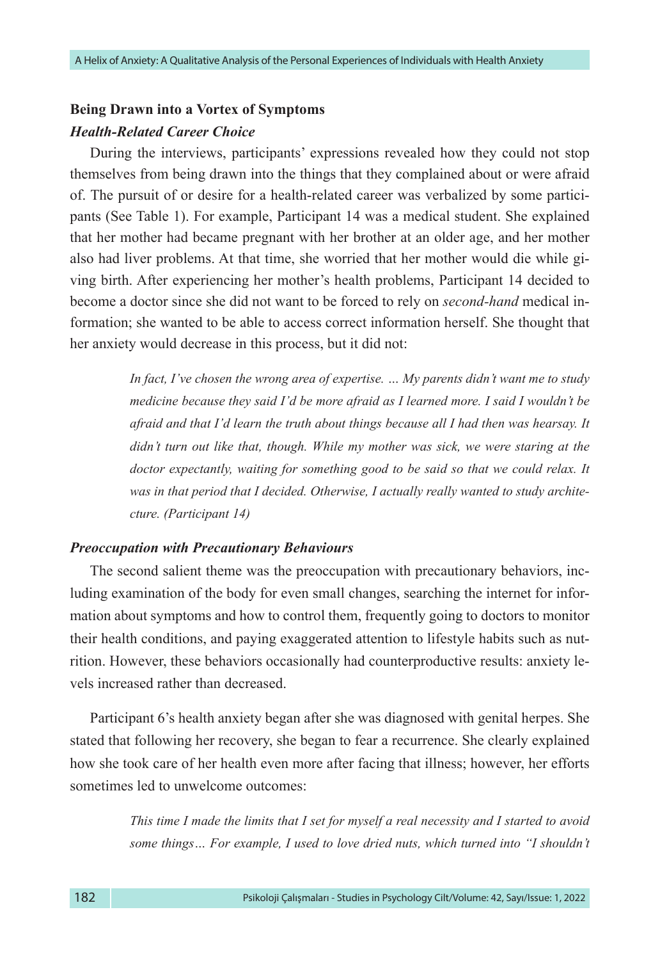# **Being Drawn into a Vortex of Symptoms** *Health-Related Career Choice*

During the interviews, participants' expressions revealed how they could not stop themselves from being drawn into the things that they complained about or were afraid of. The pursuit of or desire for a health-related career was verbalized by some participants (See Table 1). For example, Participant 14 was a medical student. She explained that her mother had became pregnant with her brother at an older age, and her mother also had liver problems. At that time, she worried that her mother would die while giving birth. After experiencing her mother's health problems, Participant 14 decided to become a doctor since she did not want to be forced to rely on *second-hand* medical information; she wanted to be able to access correct information herself. She thought that her anxiety would decrease in this process, but it did not:

> *In fact, I've chosen the wrong area of expertise. … My parents didn't want me to study medicine because they said I'd be more afraid as I learned more. I said I wouldn't be afraid and that I'd learn the truth about things because all I had then was hearsay. It didn't turn out like that, though. While my mother was sick, we were staring at the*  doctor expectantly, waiting for something good to be said so that we could relax. It *was in that period that I decided. Otherwise, I actually really wanted to study architecture. (Participant 14)*

#### *Preoccupation with Precautionary Behaviours*

The second salient theme was the preoccupation with precautionary behaviors, including examination of the body for even small changes, searching the internet for information about symptoms and how to control them, frequently going to doctors to monitor their health conditions, and paying exaggerated attention to lifestyle habits such as nutrition. However, these behaviors occasionally had counterproductive results: anxiety levels increased rather than decreased.

Participant 6's health anxiety began after she was diagnosed with genital herpes. She stated that following her recovery, she began to fear a recurrence. She clearly explained how she took care of her health even more after facing that illness; however, her efforts sometimes led to unwelcome outcomes:

> *This time I made the limits that I set for myself a real necessity and I started to avoid some things… For example, I used to love dried nuts, which turned into "I shouldn't*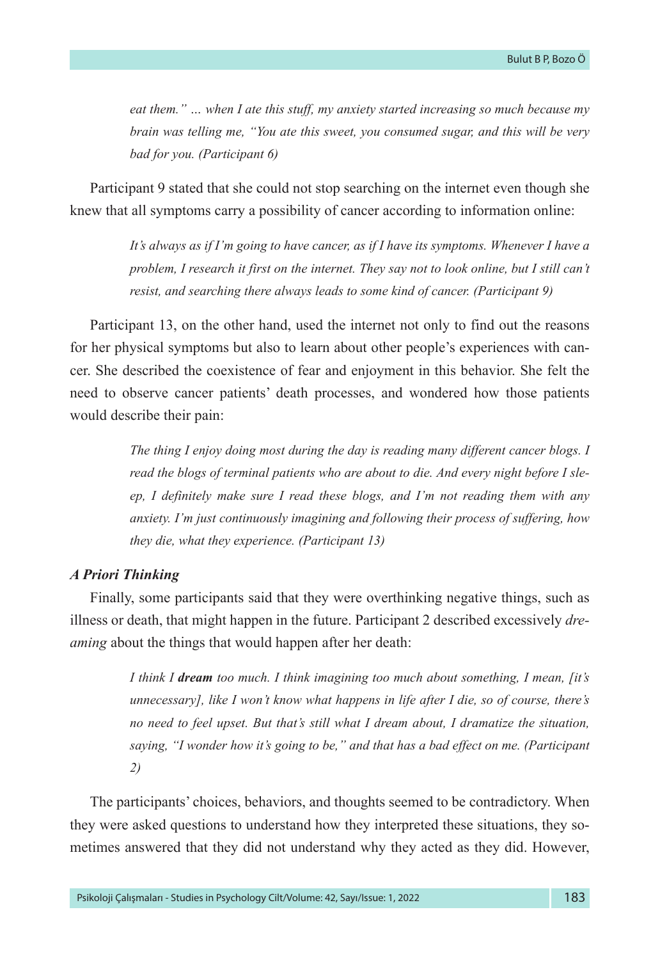*eat them." … when I ate this stuff, my anxiety started increasing so much because my brain was telling me, "You ate this sweet, you consumed sugar, and this will be very bad for you. (Participant 6)*

Participant 9 stated that she could not stop searching on the internet even though she knew that all symptoms carry a possibility of cancer according to information online:

> *It's always as if I'm going to have cancer, as if I have its symptoms. Whenever I have a problem, I research it first on the internet. They say not to look online, but I still can't resist, and searching there always leads to some kind of cancer. (Participant 9)*

Participant 13, on the other hand, used the internet not only to find out the reasons for her physical symptoms but also to learn about other people's experiences with cancer. She described the coexistence of fear and enjoyment in this behavior. She felt the need to observe cancer patients' death processes, and wondered how those patients would describe their pain:

> *The thing I enjoy doing most during the day is reading many different cancer blogs. I read the blogs of terminal patients who are about to die. And every night before I sleep, I definitely make sure I read these blogs, and I'm not reading them with any anxiety. I'm just continuously imagining and following their process of suffering, how they die, what they experience. (Participant 13)*

#### *A Priori Thinking*

Finally, some participants said that they were overthinking negative things, such as illness or death, that might happen in the future. Participant 2 described excessively *dreaming* about the things that would happen after her death:

> *I think I dream too much. I think imagining too much about something, I mean, [it's unnecessary], like I won't know what happens in life after I die, so of course, there's no need to feel upset. But that's still what I dream about, I dramatize the situation, saying, "I wonder how it's going to be," and that has a bad effect on me. (Participant 2)*

The participants' choices, behaviors, and thoughts seemed to be contradictory. When they were asked questions to understand how they interpreted these situations, they sometimes answered that they did not understand why they acted as they did. However,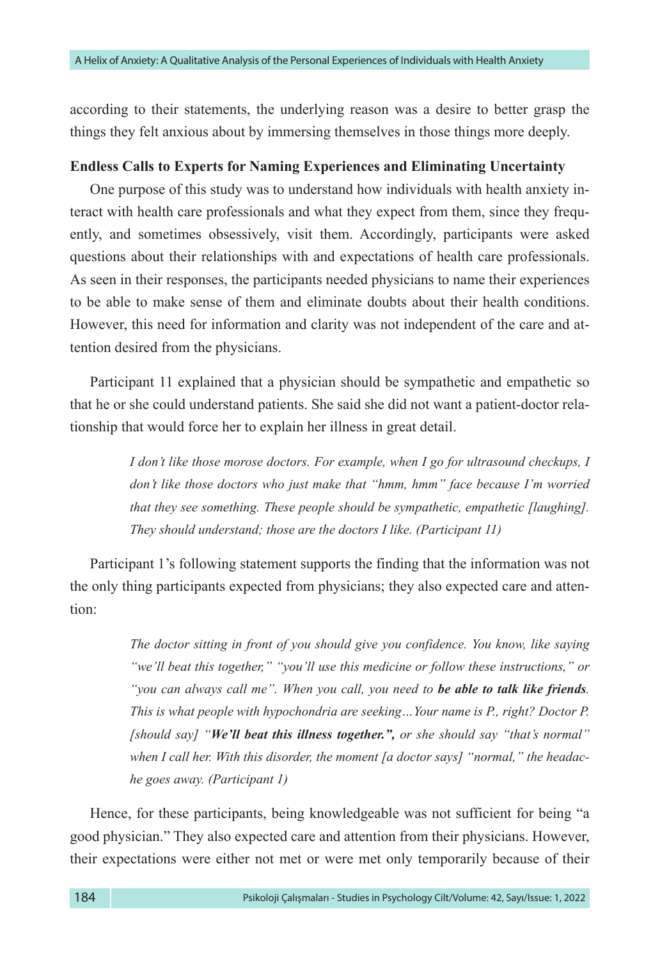according to their statements, the underlying reason was a desire to better grasp the things they felt anxious about by immersing themselves in those things more deeply.

#### **Endless Calls to Experts for Naming Experiences and Eliminating Uncertainty**

One purpose of this study was to understand how individuals with health anxiety interact with health care professionals and what they expect from them, since they frequently, and sometimes obsessively, visit them. Accordingly, participants were asked questions about their relationships with and expectations of health care professionals. As seen in their responses, the participants needed physicians to name their experiences to be able to make sense of them and eliminate doubts about their health conditions. However, this need for information and clarity was not independent of the care and attention desired from the physicians.

Participant 11 explained that a physician should be sympathetic and empathetic so that he or she could understand patients. She said she did not want a patient-doctor relationship that would force her to explain her illness in great detail.

> *I don't like those morose doctors. For example, when I go for ultrasound checkups, I don't like those doctors who just make that "hmm, hmm" face because I'm worried that they see something. These people should be sympathetic, empathetic [laughing]. They should understand; those are the doctors I like. (Participant 11)*

Participant 1's following statement supports the finding that the information was not the only thing participants expected from physicians; they also expected care and attention:

> *The doctor sitting in front of you should give you confidence. You know, like saying "we'll beat this together," "you'll use this medicine or follow these instructions," or "you can always call me". When you call, you need to be able to talk like friends. This is what people with hypochondria are seeking... Your name is P., right? Doctor P. [should say] "We'll beat this illness together.", or she should say "that's normal" when I call her. With this disorder, the moment [a doctor says] "normal," the headache goes away. (Participant 1)*

Hence, for these participants, being knowledgeable was not sufficient for being "a good physician." They also expected care and attention from their physicians. However, their expectations were either not met or were met only temporarily because of their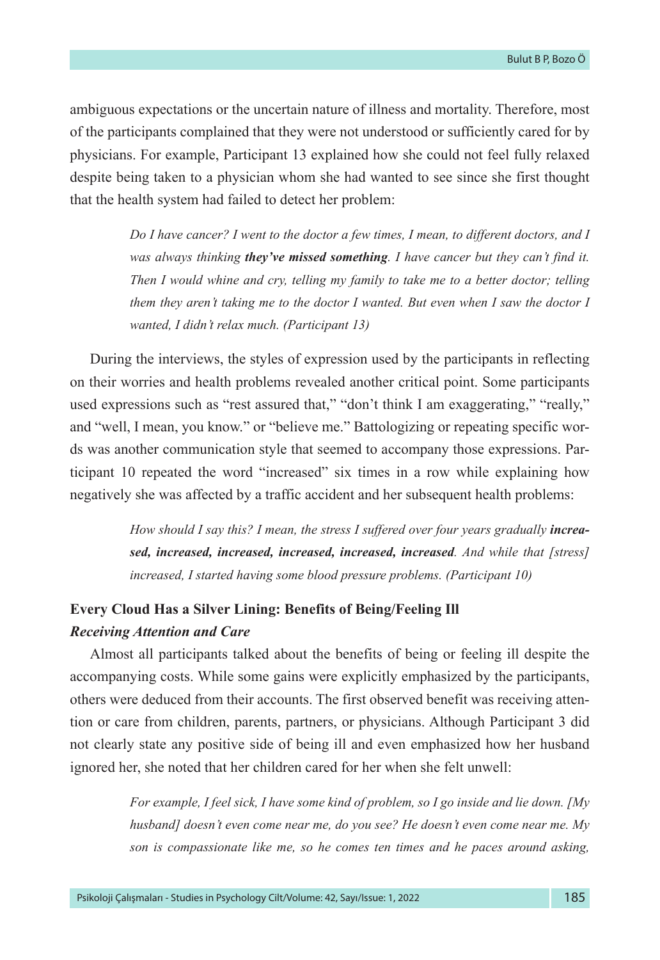ambiguous expectations or the uncertain nature of illness and mortality. Therefore, most of the participants complained that they were not understood or sufficiently cared for by physicians. For example, Participant 13 explained how she could not feel fully relaxed despite being taken to a physician whom she had wanted to see since she first thought that the health system had failed to detect her problem:

> *Do I have cancer? I went to the doctor a few times, I mean, to different doctors, and I was always thinking they've missed something. I have cancer but they can't find it. Then I would whine and cry, telling my family to take me to a better doctor; telling them they aren't taking me to the doctor I wanted. But even when I saw the doctor I wanted, I didn't relax much. (Participant 13)*

During the interviews, the styles of expression used by the participants in reflecting on their worries and health problems revealed another critical point. Some participants used expressions such as "rest assured that," "don't think I am exaggerating," "really," and "well, I mean, you know." or "believe me." Battologizing or repeating specific words was another communication style that seemed to accompany those expressions. Participant 10 repeated the word "increased" six times in a row while explaining how negatively she was affected by a traffic accident and her subsequent health problems:

> How should I say this? I mean, the stress I suffered over four years gradually *increased, increased, increased, increased, increased, increased. And while that [stress] increased, I started having some blood pressure problems. (Participant 10)*

# **Every Cloud Has a Silver Lining: Benefits of Being/Feeling Ill** *Receiving Attention and Care*

Almost all participants talked about the benefits of being or feeling ill despite the accompanying costs. While some gains were explicitly emphasized by the participants, others were deduced from their accounts. The first observed benefit was receiving attention or care from children, parents, partners, or physicians. Although Participant 3 did not clearly state any positive side of being ill and even emphasized how her husband ignored her, she noted that her children cared for her when she felt unwell:

> *For example, I feel sick, I have some kind of problem, so I go inside and lie down. [My husband] doesn't even come near me, do you see? He doesn't even come near me. My son is compassionate like me, so he comes ten times and he paces around asking,*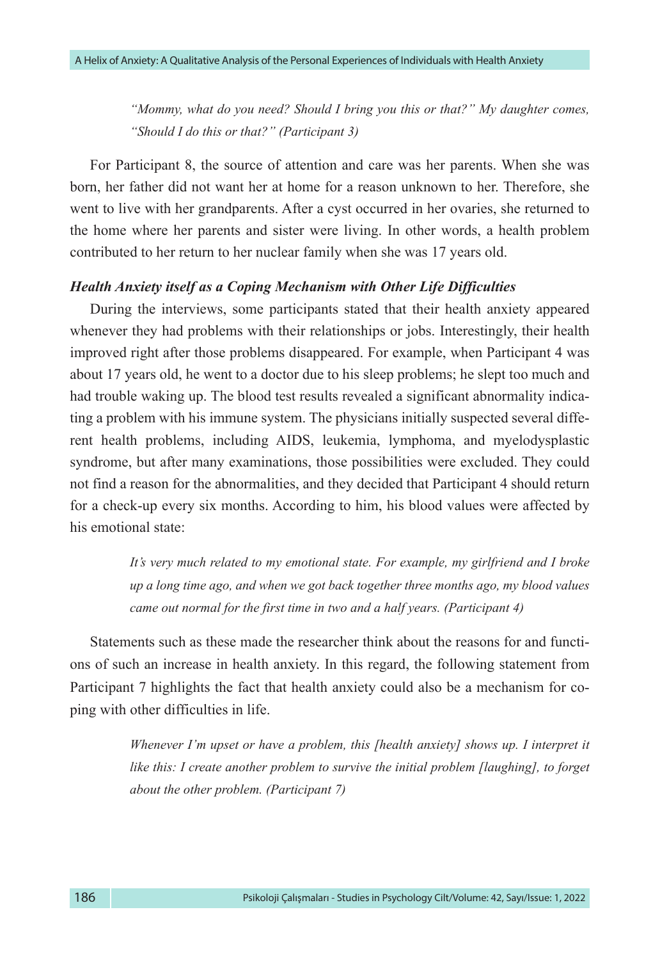*"Mommy, what do you need? Should I bring you this or that?" My daughter comes, "Should I do this or that?" (Participant 3)*

For Participant 8, the source of attention and care was her parents. When she was born, her father did not want her at home for a reason unknown to her. Therefore, she went to live with her grandparents. After a cyst occurred in her ovaries, she returned to the home where her parents and sister were living. In other words, a health problem contributed to her return to her nuclear family when she was 17 years old.

#### *Health Anxiety itself as a Coping Mechanism with Other Life Difficulties*

During the interviews, some participants stated that their health anxiety appeared whenever they had problems with their relationships or jobs. Interestingly, their health improved right after those problems disappeared. For example, when Participant 4 was about 17 years old, he went to a doctor due to his sleep problems; he slept too much and had trouble waking up. The blood test results revealed a significant abnormality indicating a problem with his immune system. The physicians initially suspected several different health problems, including AIDS, leukemia, lymphoma, and myelodysplastic syndrome, but after many examinations, those possibilities were excluded. They could not find a reason for the abnormalities, and they decided that Participant 4 should return for a check-up every six months. According to him, his blood values were affected by his emotional state:

> *It's very much related to my emotional state. For example, my girlfriend and I broke up a long time ago, and when we got back together three months ago, my blood values came out normal for the first time in two and a half years. (Participant 4)*

Statements such as these made the researcher think about the reasons for and functions of such an increase in health anxiety. In this regard, the following statement from Participant 7 highlights the fact that health anxiety could also be a mechanism for coping with other difficulties in life.

> *Whenever I'm upset or have a problem, this [health anxiety] shows up. I interpret it like this: I create another problem to survive the initial problem [laughing], to forget about the other problem. (Participant 7)*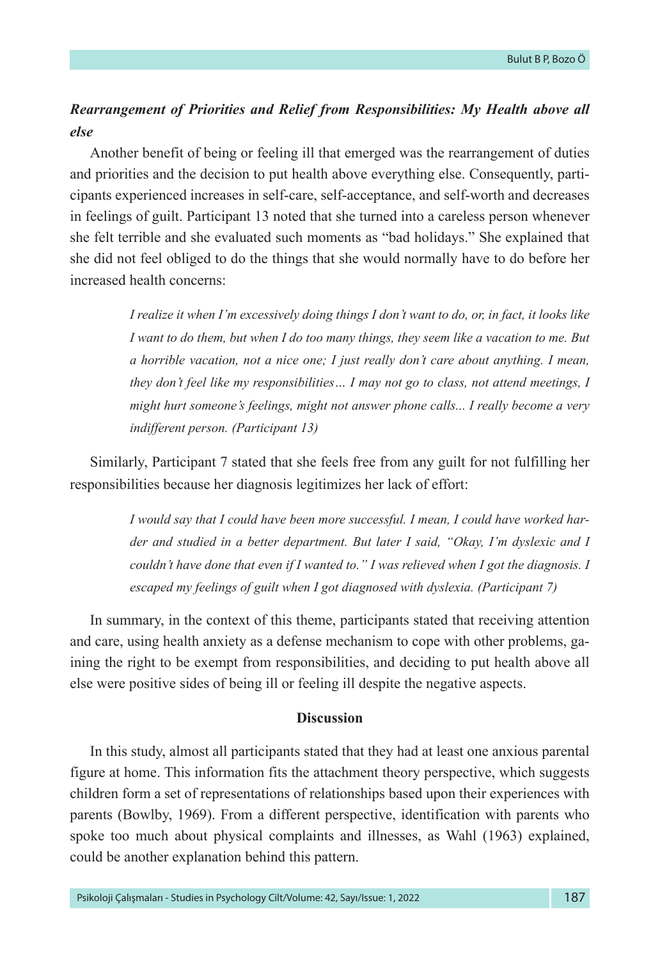# *Rearrangement of Priorities and Relief from Responsibilities: My Health above all else*

Another benefit of being or feeling ill that emerged was the rearrangement of duties and priorities and the decision to put health above everything else. Consequently, participants experienced increases in self-care, self-acceptance, and self-worth and decreases in feelings of guilt. Participant 13 noted that she turned into a careless person whenever she felt terrible and she evaluated such moments as "bad holidays." She explained that she did not feel obliged to do the things that she would normally have to do before her increased health concerns:

> *I realize it when I'm excessively doing things I don't want to do, or, in fact, it looks like I want to do them, but when I do too many things, they seem like a vacation to me. But a horrible vacation, not a nice one; I just really don't care about anything. I mean, they don't feel like my responsibilities… I may not go to class, not attend meetings, I might hurt someone's feelings, might not answer phone calls... I really become a very indifferent person. (Participant 13)*

Similarly, Participant 7 stated that she feels free from any guilt for not fulfilling her responsibilities because her diagnosis legitimizes her lack of effort:

> *I would say that I could have been more successful. I mean, I could have worked harder and studied in a better department. But later I said, "Okay, I'm dyslexic and I*  couldn't have done that even if I wanted to." I was relieved when I got the diagnosis. I *escaped my feelings of guilt when I got diagnosed with dyslexia. (Participant 7)*

In summary, in the context of this theme, participants stated that receiving attention and care, using health anxiety as a defense mechanism to cope with other problems, gaining the right to be exempt from responsibilities, and deciding to put health above all else were positive sides of being ill or feeling ill despite the negative aspects.

#### **Discussion**

In this study, almost all participants stated that they had at least one anxious parental figure at home. This information fits the attachment theory perspective, which suggests children form a set of representations of relationships based upon their experiences with parents (Bowlby, 1969). From a different perspective, identification with parents who spoke too much about physical complaints and illnesses, as Wahl (1963) explained, could be another explanation behind this pattern.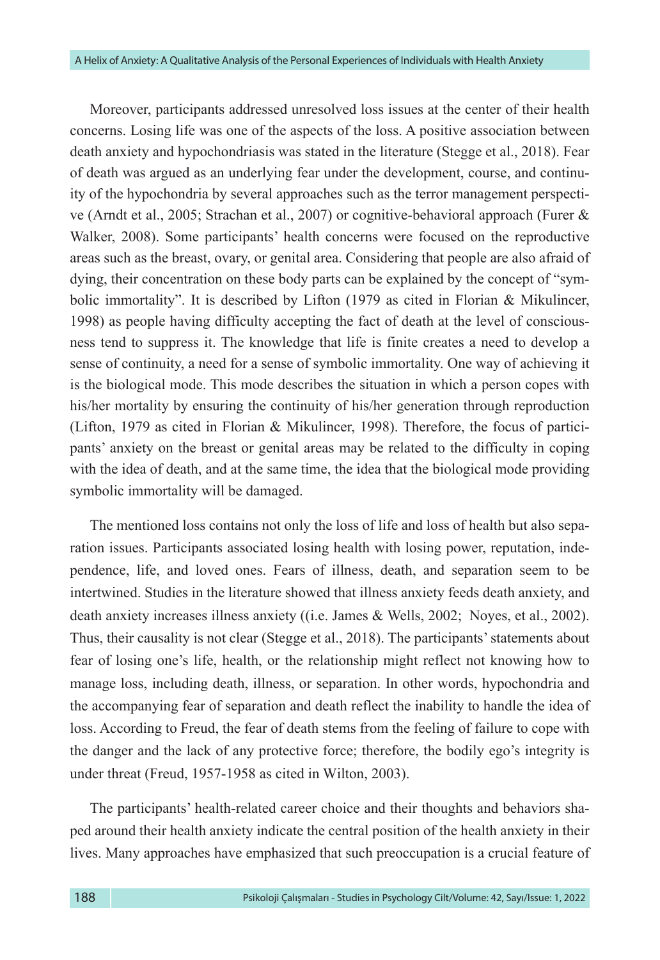Moreover, participants addressed unresolved loss issues at the center of their health concerns. Losing life was one of the aspects of the loss. A positive association between death anxiety and hypochondriasis was stated in the literature (Stegge et al., 2018). Fear of death was argued as an underlying fear under the development, course, and continuity of the hypochondria by several approaches such as the terror management perspective (Arndt et al., 2005; Strachan et al., 2007) or cognitive-behavioral approach (Furer & Walker, 2008). Some participants' health concerns were focused on the reproductive areas such as the breast, ovary, or genital area. Considering that people are also afraid of dying, their concentration on these body parts can be explained by the concept of "symbolic immortality". It is described by Lifton (1979 as cited in Florian & Mikulincer, 1998) as people having difficulty accepting the fact of death at the level of consciousness tend to suppress it. The knowledge that life is finite creates a need to develop a sense of continuity, a need for a sense of symbolic immortality. One way of achieving it is the biological mode. This mode describes the situation in which a person copes with his/her mortality by ensuring the continuity of his/her generation through reproduction (Lifton, 1979 as cited in Florian & Mikulincer, 1998). Therefore, the focus of participants' anxiety on the breast or genital areas may be related to the difficulty in coping with the idea of death, and at the same time, the idea that the biological mode providing symbolic immortality will be damaged.

The mentioned loss contains not only the loss of life and loss of health but also separation issues. Participants associated losing health with losing power, reputation, independence, life, and loved ones. Fears of illness, death, and separation seem to be intertwined. Studies in the literature showed that illness anxiety feeds death anxiety, and death anxiety increases illness anxiety ((i.e. James & Wells, 2002; Noyes, et al., 2002). Thus, their causality is not clear (Stegge et al., 2018). The participants' statements about fear of losing one's life, health, or the relationship might reflect not knowing how to manage loss, including death, illness, or separation. In other words, hypochondria and the accompanying fear of separation and death reflect the inability to handle the idea of loss. According to Freud, the fear of death stems from the feeling of failure to cope with the danger and the lack of any protective force; therefore, the bodily ego's integrity is under threat (Freud, 1957-1958 as cited in Wilton, 2003).

The participants' health-related career choice and their thoughts and behaviors shaped around their health anxiety indicate the central position of the health anxiety in their lives. Many approaches have emphasized that such preoccupation is a crucial feature of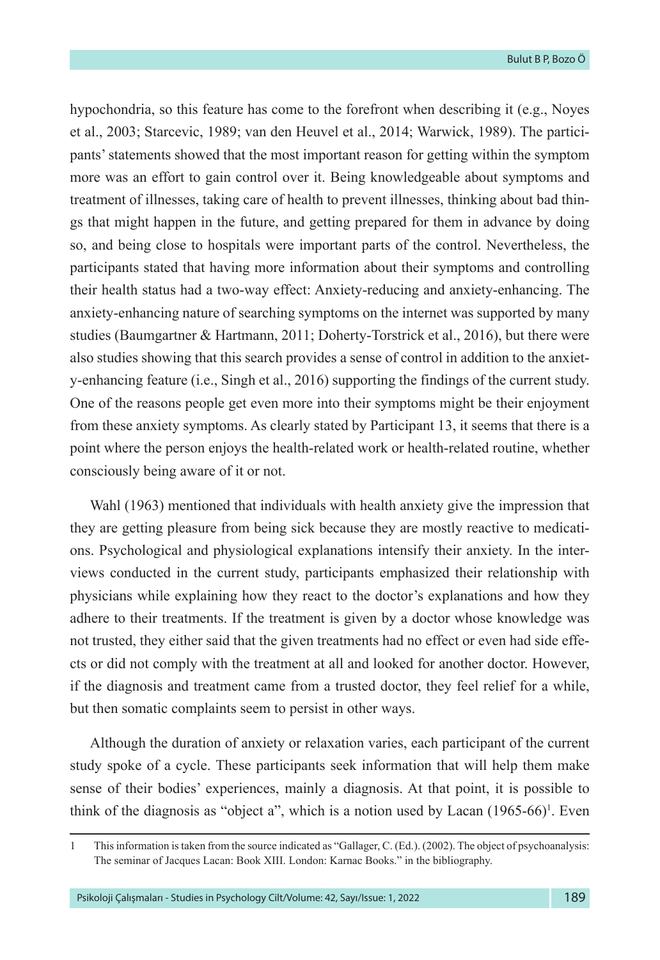hypochondria, so this feature has come to the forefront when describing it (e.g., Noyes et al., 2003; Starcevic, 1989; van den Heuvel et al., 2014; Warwick, 1989). The participants' statements showed that the most important reason for getting within the symptom more was an effort to gain control over it. Being knowledgeable about symptoms and treatment of illnesses, taking care of health to prevent illnesses, thinking about bad things that might happen in the future, and getting prepared for them in advance by doing so, and being close to hospitals were important parts of the control. Nevertheless, the participants stated that having more information about their symptoms and controlling their health status had a two-way effect: Anxiety-reducing and anxiety-enhancing. The anxiety-enhancing nature of searching symptoms on the internet was supported by many studies (Baumgartner & Hartmann, 2011; Doherty-Torstrick et al., 2016), but there were also studies showing that this search provides a sense of control in addition to the anxiety-enhancing feature (i.e., Singh et al., 2016) supporting the findings of the current study. One of the reasons people get even more into their symptoms might be their enjoyment from these anxiety symptoms. As clearly stated by Participant 13, it seems that there is a point where the person enjoys the health-related work or health-related routine, whether consciously being aware of it or not.

Wahl (1963) mentioned that individuals with health anxiety give the impression that they are getting pleasure from being sick because they are mostly reactive to medications. Psychological and physiological explanations intensify their anxiety. In the interviews conducted in the current study, participants emphasized their relationship with physicians while explaining how they react to the doctor's explanations and how they adhere to their treatments. If the treatment is given by a doctor whose knowledge was not trusted, they either said that the given treatments had no effect or even had side effects or did not comply with the treatment at all and looked for another doctor. However, if the diagnosis and treatment came from a trusted doctor, they feel relief for a while, but then somatic complaints seem to persist in other ways.

Although the duration of anxiety or relaxation varies, each participant of the current study spoke of a cycle. These participants seek information that will help them make sense of their bodies' experiences, mainly a diagnosis. At that point, it is possible to think of the diagnosis as "object a", which is a notion used by Lacan  $(1965-66)^T$ . Even

<sup>1</sup> This information is taken from the source indicated as "Gallager, C. (Ed.). (2002). The object of psychoanalysis: The seminar of Jacques Lacan: Book XIII. London: Karnac Books." in the bibliography.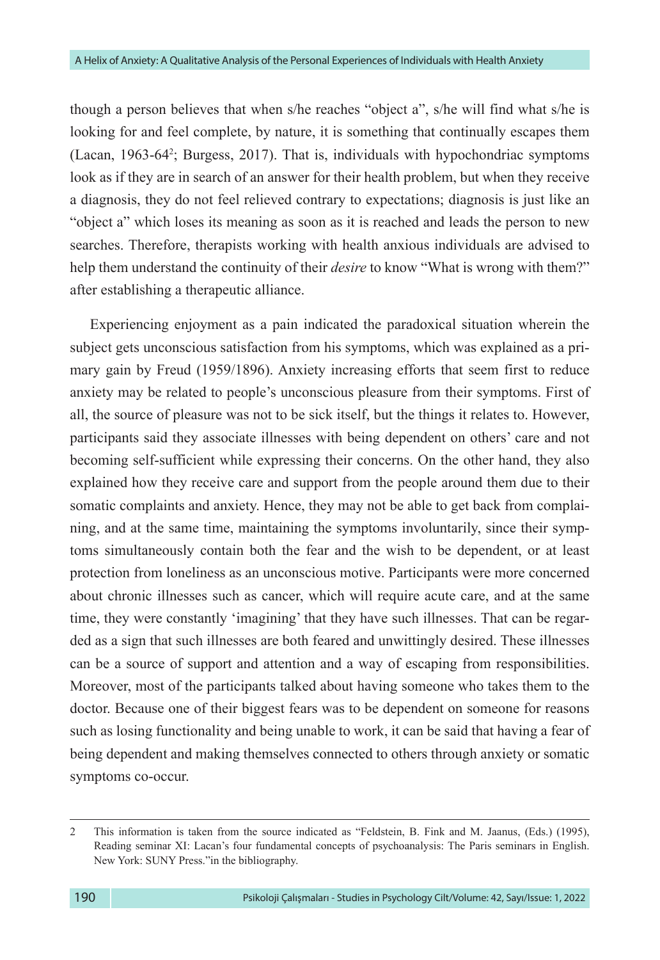though a person believes that when s/he reaches "object a", s/he will find what s/he is looking for and feel complete, by nature, it is something that continually escapes them (Lacan, 1963-64<sup>2</sup> ; Burgess, 2017). That is, individuals with hypochondriac symptoms look as if they are in search of an answer for their health problem, but when they receive a diagnosis, they do not feel relieved contrary to expectations; diagnosis is just like an "object a" which loses its meaning as soon as it is reached and leads the person to new searches. Therefore, therapists working with health anxious individuals are advised to help them understand the continuity of their *desire* to know "What is wrong with them?" after establishing a therapeutic alliance.

Experiencing enjoyment as a pain indicated the paradoxical situation wherein the subject gets unconscious satisfaction from his symptoms, which was explained as a primary gain by Freud (1959/1896). Anxiety increasing efforts that seem first to reduce anxiety may be related to people's unconscious pleasure from their symptoms. First of all, the source of pleasure was not to be sick itself, but the things it relates to. However, participants said they associate illnesses with being dependent on others' care and not becoming self-sufficient while expressing their concerns. On the other hand, they also explained how they receive care and support from the people around them due to their somatic complaints and anxiety. Hence, they may not be able to get back from complaining, and at the same time, maintaining the symptoms involuntarily, since their symptoms simultaneously contain both the fear and the wish to be dependent, or at least protection from loneliness as an unconscious motive. Participants were more concerned about chronic illnesses such as cancer, which will require acute care, and at the same time, they were constantly 'imagining' that they have such illnesses. That can be regarded as a sign that such illnesses are both feared and unwittingly desired. These illnesses can be a source of support and attention and a way of escaping from responsibilities. Moreover, most of the participants talked about having someone who takes them to the doctor. Because one of their biggest fears was to be dependent on someone for reasons such as losing functionality and being unable to work, it can be said that having a fear of being dependent and making themselves connected to others through anxiety or somatic symptoms co-occur.

<sup>2</sup> This information is taken from the source indicated as "Feldstein, B. Fink and M. Jaanus, (Eds.) (1995), Reading seminar XI: Lacan's four fundamental concepts of psychoanalysis: The Paris seminars in English. New York: SUNY Press."in the bibliography.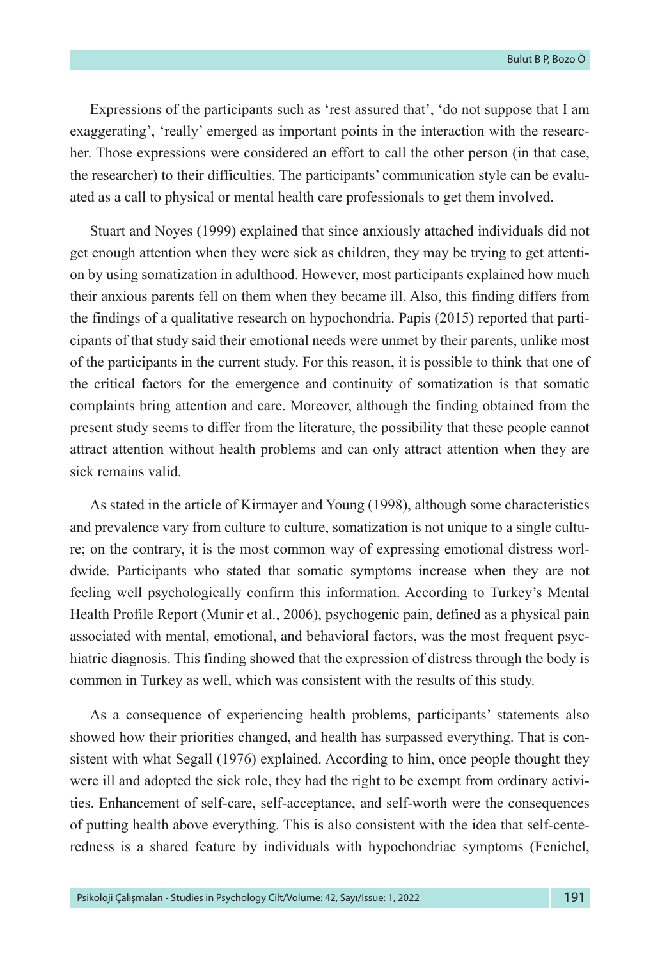Expressions of the participants such as 'rest assured that', 'do not suppose that I am exaggerating', 'really' emerged as important points in the interaction with the researcher. Those expressions were considered an effort to call the other person (in that case, the researcher) to their difficulties. The participants' communication style can be evaluated as a call to physical or mental health care professionals to get them involved.

Stuart and Noyes (1999) explained that since anxiously attached individuals did not get enough attention when they were sick as children, they may be trying to get attention by using somatization in adulthood. However, most participants explained how much their anxious parents fell on them when they became ill. Also, this finding differs from the findings of a qualitative research on hypochondria. Papis (2015) reported that participants of that study said their emotional needs were unmet by their parents, unlike most of the participants in the current study. For this reason, it is possible to think that one of the critical factors for the emergence and continuity of somatization is that somatic complaints bring attention and care. Moreover, although the finding obtained from the present study seems to differ from the literature, the possibility that these people cannot attract attention without health problems and can only attract attention when they are sick remains valid.

As stated in the article of Kirmayer and Young (1998), although some characteristics and prevalence vary from culture to culture, somatization is not unique to a single culture; on the contrary, it is the most common way of expressing emotional distress worldwide. Participants who stated that somatic symptoms increase when they are not feeling well psychologically confirm this information. According to Turkey's Mental Health Profile Report (Munir et al., 2006), psychogenic pain, defined as a physical pain associated with mental, emotional, and behavioral factors, was the most frequent psychiatric diagnosis. This finding showed that the expression of distress through the body is common in Turkey as well, which was consistent with the results of this study.

As a consequence of experiencing health problems, participants' statements also showed how their priorities changed, and health has surpassed everything. That is consistent with what Segall (1976) explained. According to him, once people thought they were ill and adopted the sick role, they had the right to be exempt from ordinary activities. Enhancement of self-care, self-acceptance, and self-worth were the consequences of putting health above everything. This is also consistent with the idea that self-centeredness is a shared feature by individuals with hypochondriac symptoms (Fenichel,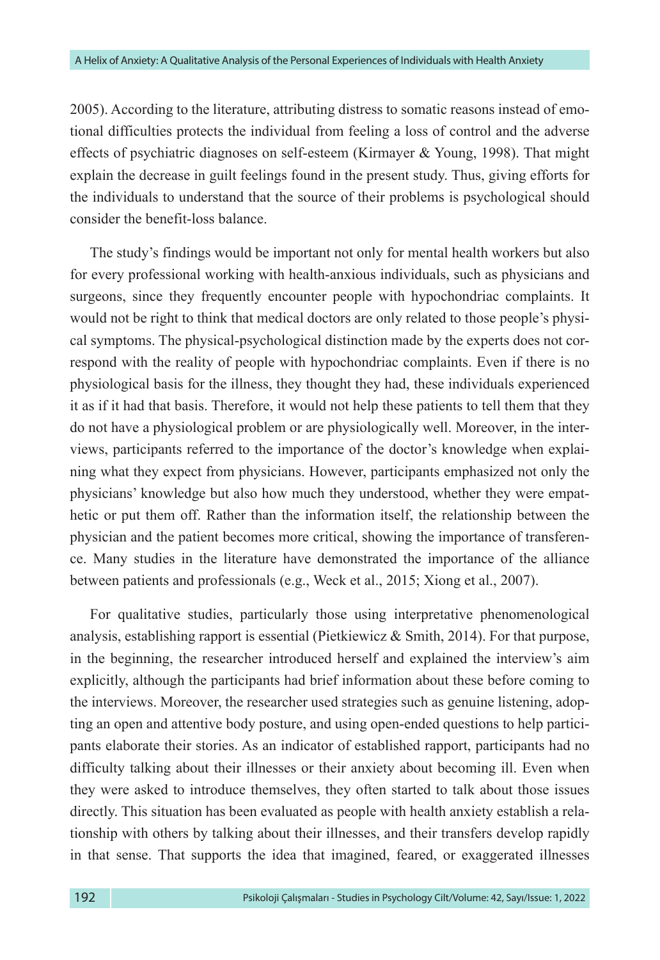2005). According to the literature, attributing distress to somatic reasons instead of emotional difficulties protects the individual from feeling a loss of control and the adverse effects of psychiatric diagnoses on self-esteem (Kirmayer & Young, 1998). That might explain the decrease in guilt feelings found in the present study. Thus, giving efforts for the individuals to understand that the source of their problems is psychological should consider the benefit-loss balance.

The study's findings would be important not only for mental health workers but also for every professional working with health-anxious individuals, such as physicians and surgeons, since they frequently encounter people with hypochondriac complaints. It would not be right to think that medical doctors are only related to those people's physical symptoms. The physical-psychological distinction made by the experts does not correspond with the reality of people with hypochondriac complaints. Even if there is no physiological basis for the illness, they thought they had, these individuals experienced it as if it had that basis. Therefore, it would not help these patients to tell them that they do not have a physiological problem or are physiologically well. Moreover, in the interviews, participants referred to the importance of the doctor's knowledge when explaining what they expect from physicians. However, participants emphasized not only the physicians' knowledge but also how much they understood, whether they were empathetic or put them off. Rather than the information itself, the relationship between the physician and the patient becomes more critical, showing the importance of transference. Many studies in the literature have demonstrated the importance of the alliance between patients and professionals (e.g., Weck et al., 2015; Xiong et al., 2007).

For qualitative studies, particularly those using interpretative phenomenological analysis, establishing rapport is essential (Pietkiewicz & Smith, 2014). For that purpose, in the beginning, the researcher introduced herself and explained the interview's aim explicitly, although the participants had brief information about these before coming to the interviews. Moreover, the researcher used strategies such as genuine listening, adopting an open and attentive body posture, and using open-ended questions to help participants elaborate their stories. As an indicator of established rapport, participants had no difficulty talking about their illnesses or their anxiety about becoming ill. Even when they were asked to introduce themselves, they often started to talk about those issues directly. This situation has been evaluated as people with health anxiety establish a relationship with others by talking about their illnesses, and their transfers develop rapidly in that sense. That supports the idea that imagined, feared, or exaggerated illnesses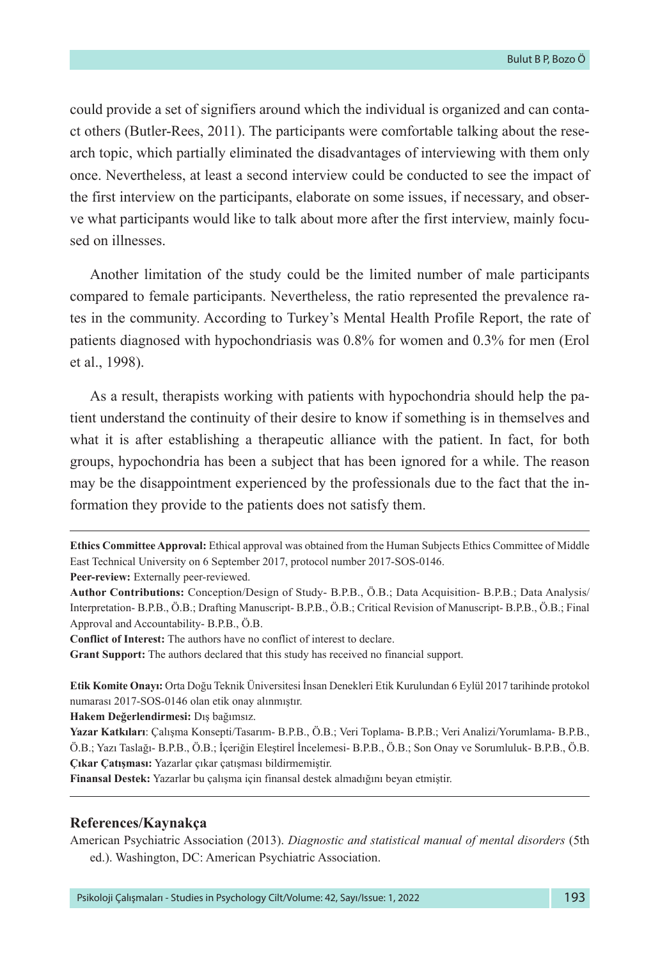could provide a set of signifiers around which the individual is organized and can contact others (Butler-Rees, 2011). The participants were comfortable talking about the research topic, which partially eliminated the disadvantages of interviewing with them only once. Nevertheless, at least a second interview could be conducted to see the impact of the first interview on the participants, elaborate on some issues, if necessary, and observe what participants would like to talk about more after the first interview, mainly focused on illnesses.

Another limitation of the study could be the limited number of male participants compared to female participants. Nevertheless, the ratio represented the prevalence rates in the community. According to Turkey's Mental Health Profile Report, the rate of patients diagnosed with hypochondriasis was 0.8% for women and 0.3% for men (Erol et al., 1998).

As a result, therapists working with patients with hypochondria should help the patient understand the continuity of their desire to know if something is in themselves and what it is after establishing a therapeutic alliance with the patient. In fact, for both groups, hypochondria has been a subject that has been ignored for a while. The reason may be the disappointment experienced by the professionals due to the fact that the information they provide to the patients does not satisfy them.

**Peer-review:** Externally peer-reviewed.

**Conflict of Interest:** The authors have no conflict of interest to declare.

**Grant Support:** The authors declared that this study has received no financial support.

**Etik Komite Onayı:** Orta Doğu Teknik Üniversitesi İnsan Denekleri Etik Kurulundan 6 Eylül 2017 tarihinde protokol numarası 2017-SOS-0146 olan etik onay alınmıştır.

**Hakem Değerlendirmesi:** Dış bağımsız.

**Finansal Destek:** Yazarlar bu çalışma için finansal destek almadığını beyan etmiştir.

#### **References/Kaynakça**

American Psychiatric Association (2013). *Diagnostic and statistical manual of mental disorders* (5th ed.). Washington, DC: American Psychiatric Association.

**Ethics Committee Approval:** Ethical approval was obtained from the Human Subjects Ethics Committee of Middle East Technical University on 6 September 2017, protocol number 2017-SOS-0146.

**Author Contributions:** Conception/Design of Study- B.P.B., Ö.B.; Data Acquisition- B.P.B.; Data Analysis/ Interpretation- B.P.B., Ö.B.; Drafting Manuscript- B.P.B., Ö.B.; Critical Revision of Manuscript- B.P.B., Ö.B.; Final Approval and Accountability- B.P.B., Ö.B.

**Yazar Katkıları**: Çalışma Konsepti/Tasarım- B.P.B., Ö.B.; Veri Toplama- B.P.B.; Veri Analizi/Yorumlama- B.P.B., Ö.B.; Yazı Taslağı- B.P.B., Ö.B.; İçeriğin Eleştirel İncelemesi- B.P.B., Ö.B.; Son Onay ve Sorumluluk- B.P.B., Ö.B. **Çıkar Çatışması:** Yazarlar çıkar çatışması bildirmemiştir.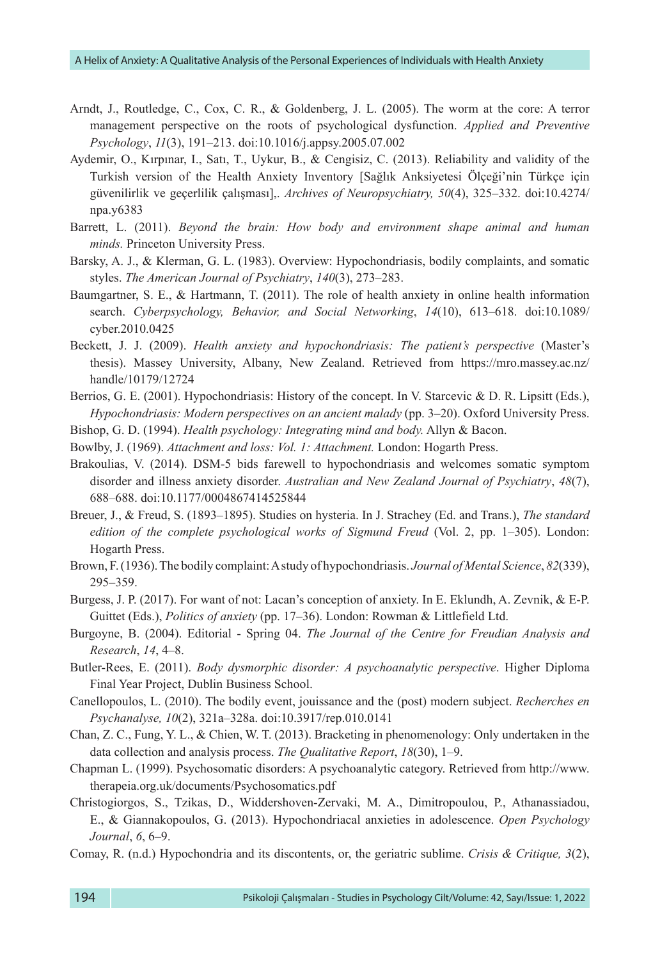- Arndt, J., Routledge, C., Cox, C. R., & Goldenberg, J. L. (2005). The worm at the core: A terror management perspective on the roots of psychological dysfunction. *Applied and Preventive Psychology*, *11*(3), 191–213. doi[:10.1016/j.appsy.2005.07.002](https://doi.org/10.1016/j.appsy.2005.07.002)
- Aydemir, O., Kırpınar, I., Satı, T., Uykur, B., & Cengisiz, C. (2013). Reliability and validity of the Turkish version of the Health Anxiety Inventory [Sağlık Anksiyetesi Ölçeği'nin Türkçe için güvenilirlik ve geçerlilik çalışması],. *Archives of Neuropsychiatry, 50*(4), 325–332. doi:10.4274/ npa.y6383
- Barrett, L. (2011). *Beyond the brain: How body and environment shape animal and human minds.* Princeton University Press.
- Barsky, A. J., & Klerman, G. L. (1983). Overview: Hypochondriasis, bodily complaints, and somatic styles. *The American Journal of Psychiatry*, *140*(3), 273–283.
- Baumgartner, S. E., & Hartmann, T. (2011). The role of health anxiety in online health information search. *Cyberpsychology, Behavior, and Social Networking*, *14*(10), 613–618. doi:10.1089/ cyber.2010.0425
- Beckett, J. J. (2009). *Health anxiety and hypochondriasis: The patient's perspective* (Master's thesis). Massey University, Albany, New Zealand. Retrieved from [https://mro.massey.ac.nz/](https://mro.massey.ac.nz/handle/10179/12724) [handle/10179/12724](https://mro.massey.ac.nz/handle/10179/12724)
- Berrios, G. E. (2001). Hypochondriasis: History of the concept. In V. Starcevic & D. R. Lipsitt (Eds.), *Hypochondriasis: Modern perspectives on an ancient malady* (pp. 3–20). Oxford University Press.
- Bishop, G. D. (1994). *Health psychology: Integrating mind and body.* Allyn & Bacon.
- Bowlby, J. (1969). *Attachment and loss: Vol. 1: Attachment.* London: Hogarth Press.
- Brakoulias, V. (2014). DSM-5 bids farewell to hypochondriasis and welcomes somatic symptom disorder and illness anxiety disorder. *Australian and New Zealand Journal of Psychiatry*, *48*(7), 688–688. doi:10.1177/0004867414525844
- Breuer, J., & Freud, S. (1893–1895). Studies on hysteria. In J. Strachey (Ed. and Trans.), *The standard edition of the complete psychological works of Sigmund Freud* (Vol. 2, pp. 1–305). London: Hogarth Press.
- Brown, F. (1936). The bodily complaint: A study of hypochondriasis. *Journal of Mental Science*, *82*(339), 295–359.
- Burgess, J. P. (2017). For want of not: Lacan's conception of anxiety. In E. Eklundh, A. Zevnik, & E-P. Guittet (Eds.), *Politics of anxiety* (pp. 17–36). London: Rowman & Littlefield Ltd.
- Burgoyne, B. (2004). Editorial Spring 04. *The Journal of the Centre for Freudian Analysis and Research*, *14*, 4–8.
- Butler-Rees, E. (2011). *Body dysmorphic disorder: A psychoanalytic perspective*. Higher Diploma Final Year Project, Dublin Business School.
- Canellopoulos, L. (2010). The bodily event, jouissance and the (post) modern subject. *Recherches en Psychanalyse, 10*(2), 321a–328a. doi:10.3917/rep.010.0141
- Chan, Z. C., Fung, Y. L., & Chien, W. T. (2013). Bracketing in phenomenology: Only undertaken in the data collection and analysis process. *The Qualitative Report*, *18*(30), 1–9.
- Chapman L. (1999). Psychosomatic disorders: A psychoanalytic category. Retrieved from http://www. therapeia.org.uk/documents/Psychosomatics.pdf
- Christogiorgos, S., Tzikas, D., Widdershoven-Zervaki, M. A., Dimitropoulou, P., Athanassiadou, E., & Giannakopoulos, G. (2013). Hypochondriacal anxieties in adolescence. *Open Psychology Journal*, *6*, 6–9.
- Comay, R. (n.d.) Hypochondria and its discontents, or, the geriatric sublime. *Crisis & Critique, 3*(2),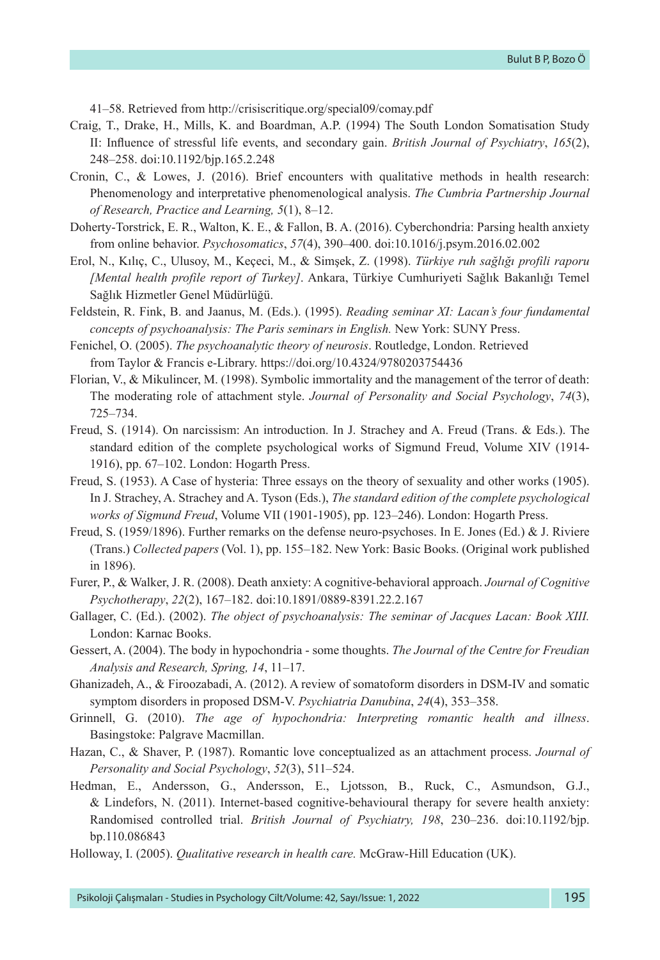41–58. Retrieved from <http://crisiscritique.org/special09/comay.pdf>

- Craig, T., Drake, H., Mills, K. and Boardman, A.P. (1994) The South London Somatisation Study II: Influence of stressful life events, and secondary gain. *British Journal of Psychiatry*, *165*(2), 248–258. [doi:10.1192/bjp.165.2.248](http://dx.doi.org/10.1192/bjp.165.2.248)
- Cronin, C., & Lowes, J. (2016). Brief encounters with qualitative methods in health research: Phenomenology and interpretative phenomenological analysis. *The Cumbria Partnership Journal of Research, Practice and Learning, 5*(1), 8–12.
- Doherty-Torstrick, E. R., Walton, K. E., & Fallon, B. A. (2016). Cyberchondria: Parsing health anxiety from online behavior. *Psychosomatics*, *57*(4), 390–400. doi:10.1016/j.psym.2016.02.002
- Erol, N., Kılıç, C., Ulusoy, M., Keçeci, M., & Simşek, Z. (1998). *Türkiye ruh sağlığı profili raporu [Mental health profile report of Turkey]*. Ankara, Türkiye Cumhuriyeti Sağlık Bakanlığı Temel Sağlık Hizmetler Genel Müdürlüğü.
- Feldstein, R. Fink, B. and Jaanus, M. (Eds.). (1995). *Reading seminar XI: Lacan's four fundamental concepts of psychoanalysis: The Paris seminars in English.* New York: SUNY Press.
- Fenichel, O. (2005). *The psychoanalytic theory of neurosis*. Routledge, London. Retrieved from Taylor & Francis e-Library. https://doi.org/10.4324/9780203754436
- Florian, V., & Mikulincer, M. (1998). Symbolic immortality and the management of the terror of death: The moderating role of attachment style. *Journal of Personality and Social Psychology*, *74*(3), 725–734.
- Freud, S. (1914). On narcissism: An introduction. In J. Strachey and A. Freud (Trans. & Eds.). The standard edition of the complete psychological works of Sigmund Freud, Volume XIV (1914- 1916), pp. 67–102. London: Hogarth Press.
- Freud, S. (1953). A Case of hysteria: Three essays on the theory of sexuality and other works (1905). In J. Strachey, A. Strachey and A. Tyson (Eds.), *The standard edition of the complete psychological works of Sigmund Freud*, Volume VII (1901-1905), pp. 123–246). London: Hogarth Press.
- Freud, S. (1959/1896). Further remarks on the defense neuro-psychoses. In E. Jones (Ed.) & J. Riviere (Trans.) *Collected papers* (Vol. 1), pp. 155–182. New York: Basic Books. (Original work published in 1896).
- Furer, P., & Walker, J. R. (2008). Death anxiety: A cognitive-behavioral approach. *Journal of Cognitive Psychotherapy*, *22*(2), 167–182. doi:10.1891/0889-8391.22.2.167
- Gallager, C. (Ed.). (2002). *The object of psychoanalysis: The seminar of Jacques Lacan: Book XIII.*  London: Karnac Books.
- Gessert, A. (2004). The body in hypochondria some thoughts. *The Journal of the Centre for Freudian Analysis and Research, Spring, 14*, 11–17.
- Ghanizadeh, A., & Firoozabadi, A. (2012). A review of somatoform disorders in DSM-IV and somatic symptom disorders in proposed DSM-V. *Psychiatria Danubina*, *24*(4), 353–358.
- Grinnell, G. (2010). *The age of hypochondria: Interpreting romantic health and illness*. Basingstoke: Palgrave Macmillan.
- Hazan, C., & Shaver, P. (1987). Romantic love conceptualized as an attachment process. *Journal of Personality and Social Psychology*, *52*(3), 511–524.
- Hedman, E., Andersson, G., Andersson, E., Ljotsson, B., Ruck, C., Asmundson, G.J., & Lindefors, N. (2011). Internet-based cognitive-behavioural therapy for severe health anxiety: Randomised controlled trial. *British Journal of Psychiatry, 198*, 230–236. doi:10.1192/bjp. bp.110.086843
- Holloway, I. (2005). *Qualitative research in health care.* McGraw-Hill Education (UK).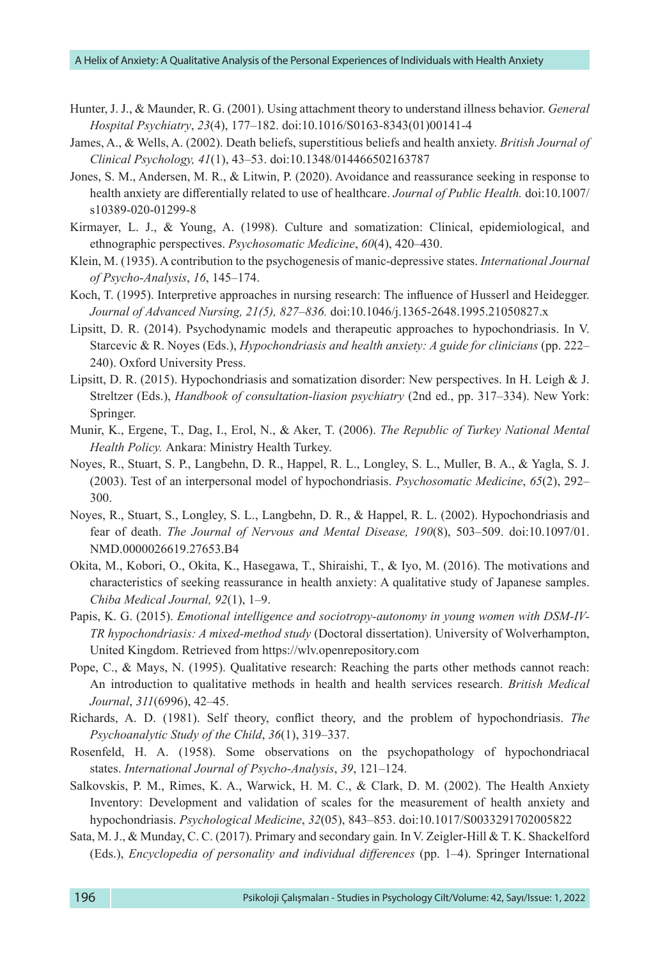- Hunter, J. J., & Maunder, R. G. (2001). Using attachment theory to understand illness behavior. *General Hospital Psychiatry*, *23*(4), 177–182. doi[:10.1016/S0163-8343\(01\)00141-4](https://doi.org/10.1016/S0163-8343(01)00141-4)
- James, A., & Wells, A. (2002). Death beliefs, superstitious beliefs and health anxiety. *British Journal of Clinical Psychology, 41*(1), 43–53. doi:10.1348/014466502163787
- Jones, S. M., Andersen, M. R., & Litwin, P. (2020). Avoidance and reassurance seeking in response to health anxiety are differentially related to use of healthcare. *Journal of Public Health.* doi:10.1007/ s10389-020-01299-8
- Kirmayer, L. J., & Young, A. (1998). Culture and somatization: Clinical, epidemiological, and ethnographic perspectives. *Psychosomatic Medicine*, *60*(4), 420–430.
- Klein, M. (1935). A contribution to the psychogenesis of manic-depressive states. *International Journal of Psycho-Analysis*, *16*, 145–174.
- Koch, T. (1995). Interpretive approaches in nursing research: The influence of Husserl and Heidegger. *Journal of Advanced Nursing, 21(5), 827*–*836.* doi:10.1046/j.1365-2648.1995.21050827.x
- Lipsitt, D. R. (2014). Psychodynamic models and therapeutic approaches to hypochondriasis. In V. Starcevic & R. Noyes (Eds.), *Hypochondriasis and health anxiety: A guide for clinicians* (pp. 222– 240). Oxford University Press.
- Lipsitt, D. R. (2015). Hypochondriasis and somatization disorder: New perspectives. In H. Leigh & J. Streltzer (Eds.), *Handbook of consultation-liasion psychiatry* (2nd ed., pp. 317–334). New York: Springer.
- Munir, K., Ergene, T., Dag, I., Erol, N., & Aker, T. (2006). *The Republic of Turkey National Mental Health Policy.* Ankara: Ministry Health Turkey.
- Noyes, R., Stuart, S. P., Langbehn, D. R., Happel, R. L., Longley, S. L., Muller, B. A., & Yagla, S. J. (2003). Test of an interpersonal model of hypochondriasis. *Psychosomatic Medicine*, *65*(2), 292– 300.
- Noyes, R., Stuart, S., Longley, S. L., Langbehn, D. R., & Happel, R. L. (2002). Hypochondriasis and fear of death. *The Journal of Nervous and Mental Disease, 190*(8), 503–509. doi:10.1097/01. NMD.0000026619.27653.B4
- Okita, M., Kobori, O., Okita, K., Hasegawa, T., Shiraishi, T., & Iyo, M. (2016). The motivations and characteristics of seeking reassurance in health anxiety: A qualitative study of Japanese samples. *Chiba Medical Journal, 92*(1), 1–9.
- Papis, K. G. (2015). *Emotional intelligence and sociotropy-autonomy in young women with DSM-IV-TR hypochondriasis: A mixed-method study* (Doctoral dissertation). University of Wolverhampton, United Kingdom. Retrieved from [https://wlv.openrepository.com](https://wlv.openrepository.com/)
- Pope, C., & Mays, N. (1995). Qualitative research: Reaching the parts other methods cannot reach: An introduction to qualitative methods in health and health services research. *British Medical Journal*, *311*(6996), 42–45.
- Richards, A. D. (1981). Self theory, conflict theory, and the problem of hypochondriasis. *The Psychoanalytic Study of the Child*, *36*(1), 319–337.
- Rosenfeld, H. A. (1958). Some observations on the psychopathology of hypochondriacal states. *International Journal of Psycho-Analysis*, *39*, 121–124.
- Salkovskis, P. M., Rimes, K. A., Warwick, H. M. C., & Clark, D. M. (2002). The Health Anxiety Inventory: Development and validation of scales for the measurement of health anxiety and hypochondriasis. *Psychological Medicine*, *32*(05), 843–853. doi:10.1017/S0033291702005822
- Sata, M. J., & Munday, C. C. (2017). Primary and secondary gain. In V. Zeigler-Hill & T. K. Shackelford (Eds.), *Encyclopedia of personality and individual differences* (pp. 1–4). Springer International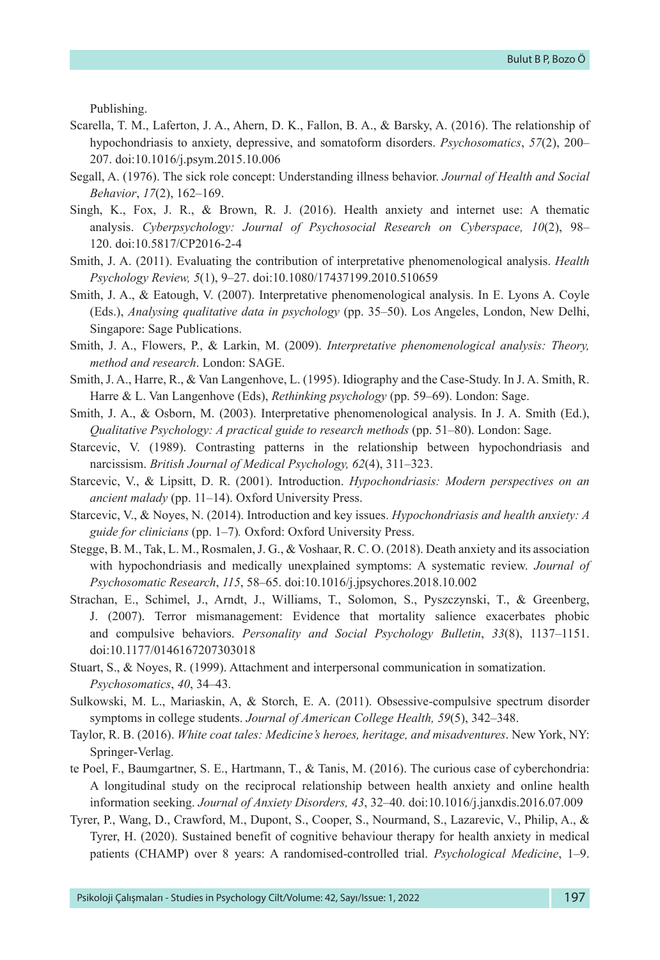Publishing.

- Scarella, T. M., Laferton, J. A., Ahern, D. K., Fallon, B. A., & Barsky, A. (2016). The relationship of hypochondriasis to anxiety, depressive, and somatoform disorders. *Psychosomatics*, *57*(2), 200– 207. doi:[10.1016/j.psym.2015.10.006](https://doi.org/10.1016/j.psym.2015.10.006)
- Segall, A. (1976). The sick role concept: Understanding illness behavior. *Journal of Health and Social Behavior*, *17*(2), 162–169.
- [Singh, K.,](https://cyberpsychology.eu/about/editorialTeamBioFullProfile/1244) [Fox, J. R.,](https://cyberpsychology.eu/about/editorialTeamBioFullProfile/1245) & [Brown, R. J.](https://cyberpsychology.eu/about/editorialTeamBioFullProfile/1246) (2016). Health anxiety and internet use: A thematic analysis. *Cyberpsychology: Journal of Psychosocial Research on Cyberspace, 10*(2), 98– 120. [doi:10.5817/CP2016-2-4](http://dx.doi.org/10.5817/CP2016-2-4)
- Smith, J. A. (2011). Evaluating the contribution of interpretative phenomenological analysis. *Health Psychology Review, 5*(1), 9–27. doi:10.1080/17437199.2010.510659
- Smith, J. A., & Eatough, V. (2007). Interpretative phenomenological analysis. In E. Lyons A. Coyle (Eds.), *Analysing qualitative data in psychology* (pp. 35–50). Los Angeles, London, New Delhi, Singapore: Sage Publications.
- Smith, J. A., Flowers, P., & Larkin, M. (2009). *Interpretative phenomenological analysis: Theory, method and research*. London: SAGE.
- Smith, J. A., Harre, R., & Van Langenhove, L. (1995). Idiography and the Case-Study. In J. A. Smith, R. Harre & L. Van Langenhove (Eds), *Rethinking psychology* (pp. 59–69). London: Sage.
- Smith, J. A., & Osborn, M. (2003). Interpretative phenomenological analysis. In J. A. Smith (Ed.), *Qualitative Psychology: A practical guide to research methods* (pp. 51–80). London: Sage.
- Starcevic, V. (1989). Contrasting patterns in the relationship between hypochondriasis and narcissism. *British Journal of Medical Psychology, 62*(4), 311–323.
- Starcevic, V., & Lipsitt, D. R. (2001). Introduction. *Hypochondriasis: Modern perspectives on an ancient malady* (pp. 11–14). Oxford University Press.
- Starcevic, V., & Noyes, N. (2014). Introduction and key issues. *Hypochondriasis and health anxiety: A guide for clinicians* (pp. 1–7)*.* Oxford: Oxford University Press.
- Stegge, B. M., Tak, L. M., Rosmalen, J. G., & Voshaar, R. C. O. (2018). Death anxiety and its association with hypochondriasis and medically unexplained symptoms: A systematic review. *Journal of Psychosomatic Research*, *115*, 58–65. doi:10.1016/j.jpsychores.2018.10.002
- Strachan, E., Schimel, J., Arndt, J., Williams, T., Solomon, S., Pyszczynski, T., & Greenberg, J. (2007). Terror mismanagement: Evidence that mortality salience exacerbates phobic and compulsive behaviors. *Personality and Social Psychology Bulletin*, *33*(8), 1137–1151. doi:[10.1177/0146167207303018](https://doi.org/10.1177%2F0146167207303018)
- Stuart, S., & Noyes, R. (1999). Attachment and interpersonal communication in somatization. *Psychosomatics*, *40*, 34–43.
- Sulkowski, M. L., Mariaskin, A, & Storch, E. A. (2011). Obsessive-compulsive spectrum disorder symptoms in college students. *Journal of American College Health, 59*(5), 342–348.
- Taylor, R. B. (2016). *White coat tales: Medicine's heroes, heritage, and misadventures*. New York, NY: Springer-Verlag.
- te Poel, F., Baumgartner, S. E., Hartmann, T., & Tanis, M. (2016). The curious case of cyberchondria: A longitudinal study on the reciprocal relationship between health anxiety and online health information seeking. *Journal of Anxiety Disorders, 43*, 32–40. doi:10.1016/j.janxdis.2016.07.009
- Tyrer, P., Wang, D., Crawford, M., Dupont, S., Cooper, S., Nourmand, S., Lazarevic, V., Philip, A., & Tyrer, H. (2020). Sustained benefit of cognitive behaviour therapy for health anxiety in medical patients (CHAMP) over 8 years: A randomised-controlled trial. *Psychological Medicine*, 1–9.